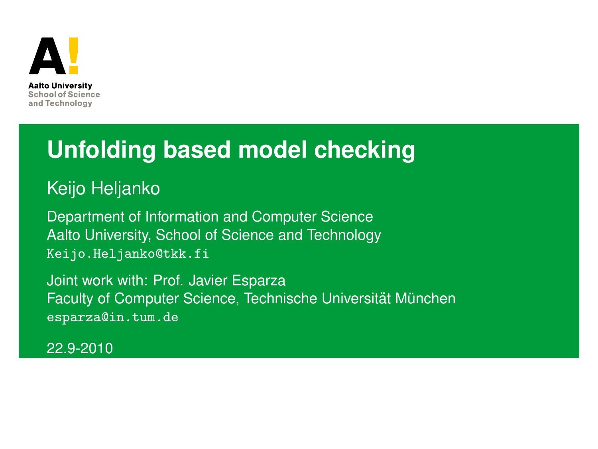

#### **Unfolding based model checking**

#### Keijo Heljanko

Department of Information and Computer Science Aalto University, School of Science and Technology Keijo.Heljanko@tkk.fi

Joint work with: Prof. Javier Esparza Faculty of Computer Science, Technische Universität München esparza@in.tum.de

22.9-2010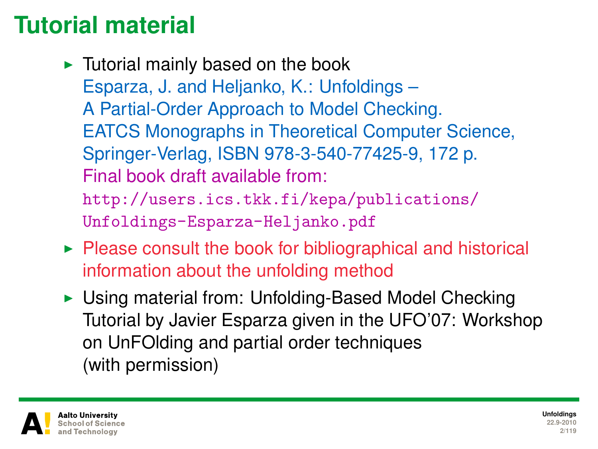# **Tutorial material**

- $\blacktriangleright$  Tutorial mainly based on the book Esparza, J. and Heljanko, K.: Unfoldings – A Partial-Order Approach to Model Checking. EATCS Monographs in Theoretical Computer Science, Springer-Verlag, ISBN 978-3-540-77425-9, 172 p. Final book draft available from: [http://users.ics.tkk.fi/kepa/publications/](http://users.ics.tkk.fi/kepa/publications/Unfoldings-Esparza-Heljanko.pdf) [Unfoldings-Esparza-Heljanko.pdf](http://users.ics.tkk.fi/kepa/publications/Unfoldings-Esparza-Heljanko.pdf)
- $\triangleright$  Please consult the book for bibliographical and historical information about the unfolding method
- $\triangleright$  Using material from: Unfolding-Based Model Checking Tutorial by Javier Esparza given in the UFO'07: Workshop on UnFOlding and partial order techniques (with permission)

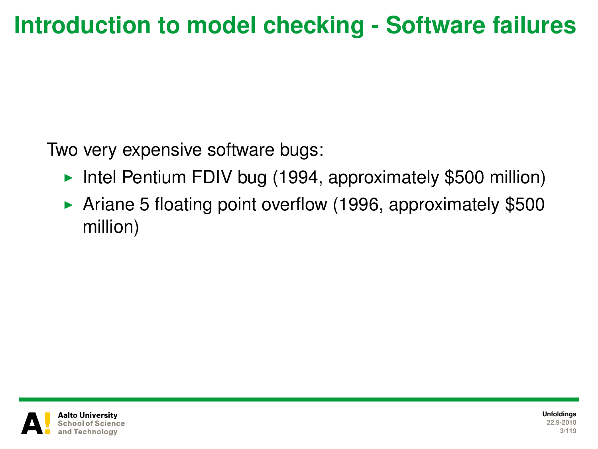#### **Introduction to model checking - Software failures**

Two very expensive software bugs:

- Intel Pentium FDIV bug (1994, approximately \$500 million)
- $\blacktriangleright$  Ariane 5 floating point overflow (1996, approximately \$500 million)

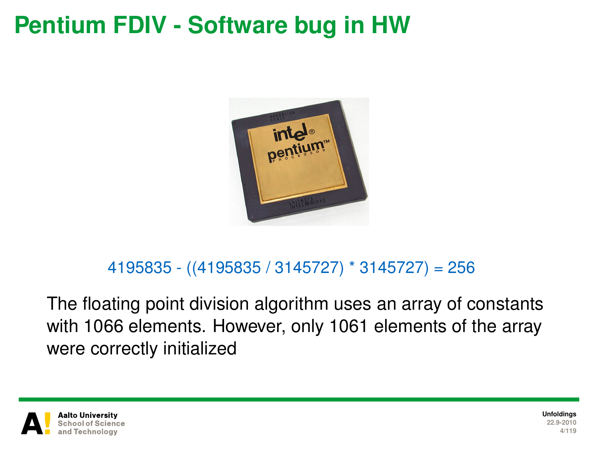## **Pentium FDIV - Software bug in HW**



#### 4195835 - ((4195835 / 3145727) \* 3145727) = 256

The floating point division algorithm uses an array of constants with 1066 elements. However, only 1061 elements of the array were correctly initialized



**Unfoldings 22.9-2010 4/119**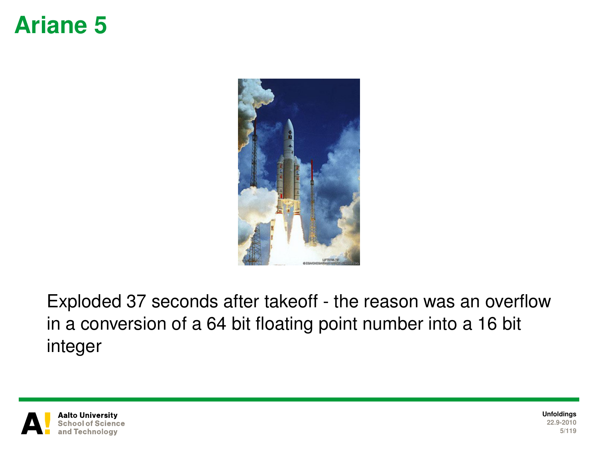#### **Ariane 5**



Exploded 37 seconds after takeoff - the reason was an overflow in a conversion of a 64 bit floating point number into a 16 bit integer



**Unfoldings 22.9-2010 5/119**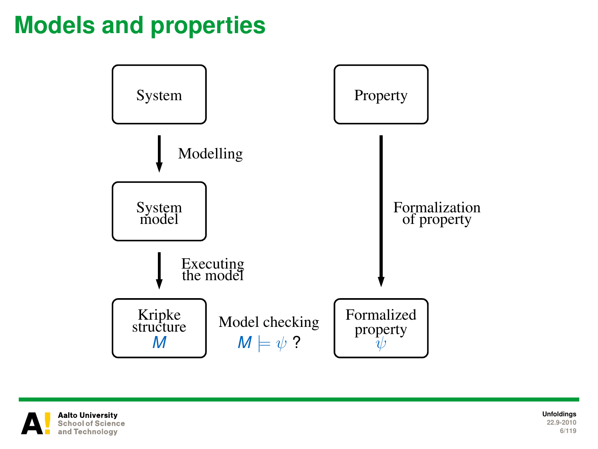## **Models and properties**





**Unfoldings 22.9-2010 6/119**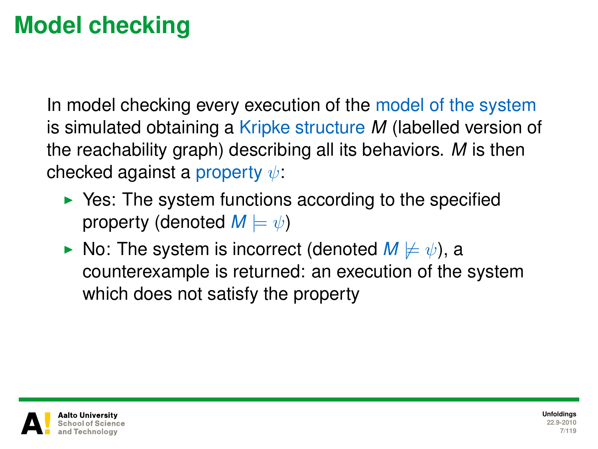# **Model checking**

In model checking every execution of the model of the system is simulated obtaining a Kripke structure *M* (labelled version of the reachability graph) describing all its behaviors. *M* is then checked against a property  $\psi$ :

- $\triangleright$  Yes: The system functions according to the specified property (denoted  $M \models \psi$ )
- $\triangleright$  No: The system is incorrect (denoted  $M \not\models \psi$ ), a counterexample is returned: an execution of the system which does not satisfy the property

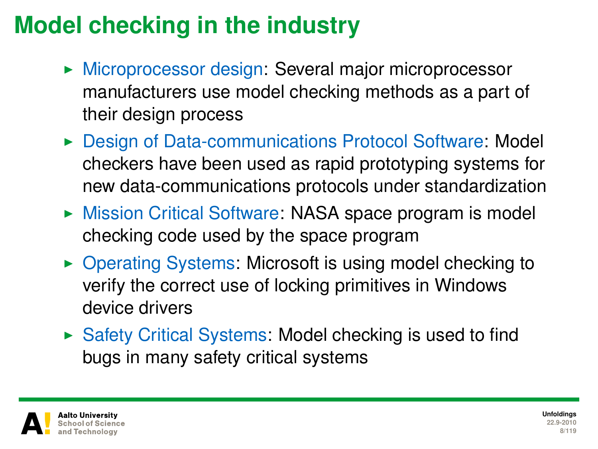# **Model checking in the industry**

- ► Microprocessor design: Several major microprocessor manufacturers use model checking methods as a part of their design process
- ▶ Design of Data-communications Protocol Software: Model checkers have been used as rapid prototyping systems for new data-communications protocols under standardization
- ► Mission Critical Software: NASA space program is model checking code used by the space program
- $\triangleright$  Operating Systems: Microsoft is using model checking to verify the correct use of locking primitives in Windows device drivers
- $\triangleright$  Safety Critical Systems: Model checking is used to find bugs in many safety critical systems

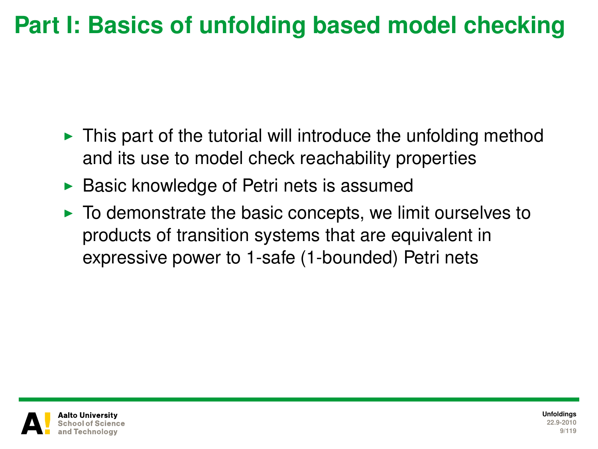## **Part I: Basics of unfolding based model checking**

- $\triangleright$  This part of the tutorial will introduce the unfolding method and its use to model check reachability properties
- $\triangleright$  Basic knowledge of Petri nets is assumed
- $\triangleright$  To demonstrate the basic concepts, we limit ourselves to products of transition systems that are equivalent in expressive power to 1-safe (1-bounded) Petri nets

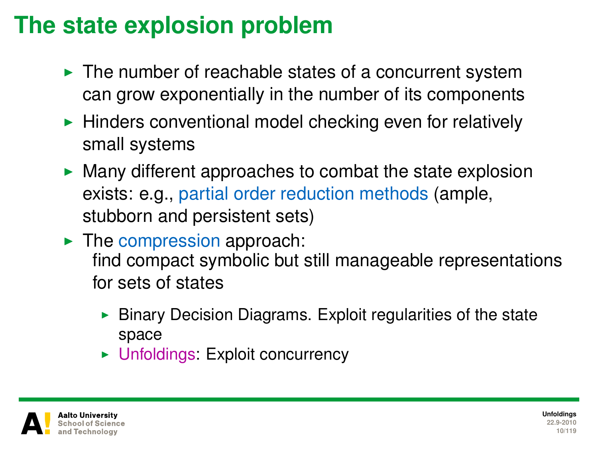## **The state explosion problem**

- $\blacktriangleright$  The number of reachable states of a concurrent system can grow exponentially in the number of its components
- $\blacktriangleright$  Hinders conventional model checking even for relatively small systems
- $\blacktriangleright$  Many different approaches to combat the state explosion exists: e.g., partial order reduction methods (ample, stubborn and persistent sets)
- $\blacktriangleright$  The compression approach: find compact symbolic but still manageable representations for sets of states
	- Binary Decision Diagrams. Exploit regularities of the state space
	- Unfoldings: Exploit concurrency

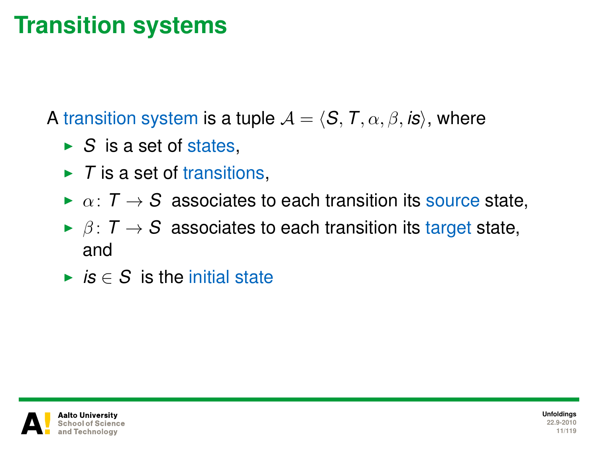#### **Transition systems**

A transition system is a tuple  $A = \langle S, T, \alpha, \beta, \mathbf{is} \rangle$ , where

- $\triangleright$  *S* is a set of states,
- $\blacktriangleright$  *T* is a set of transitions.
- $\triangleright$   $\alpha: \mathcal{T} \to \mathcal{S}$  associates to each transition its source state,
- $\blacktriangleright$   $\beta$ :  $T \rightarrow S$  associates to each transition its target state, and
- $\triangleright$  *is*  $\in$  *S* is the initial state

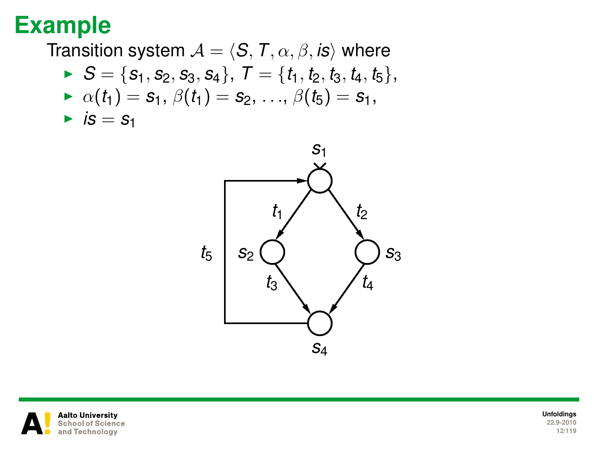#### **Example**

Transition system  $A = \langle S, T, \alpha, \beta, \textit{is} \rangle$  where

$$
\blacktriangleright \ S = \{s_1, s_2, s_3, s_4\}, \ T = \{t_1, t_2, t_3, t_4, t_5\},
$$

$$
\triangleright \ \alpha(t_1) = s_1, \ \beta(t_1) = s_2, \ \ldots, \ \beta(t_5) = s_1, \ \ldots \ \mathbf{is} = s_1
$$



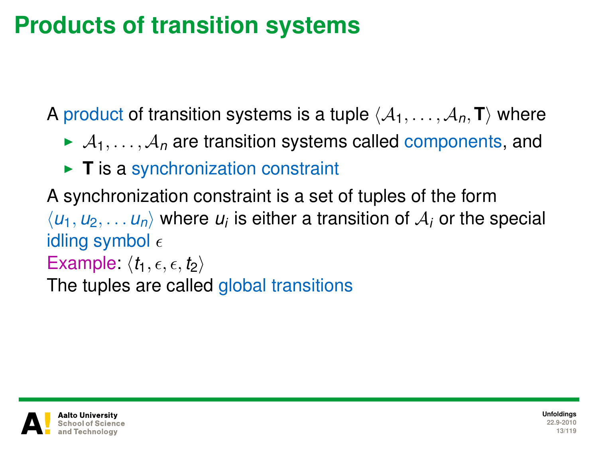#### **Products of transition systems**

A product of transition systems is a tuple  $\langle A_1, \ldots, A_n, \mathbf{T} \rangle$  where

- $\blacktriangleright$   $\mathcal{A}_1, \ldots, \mathcal{A}_n$  are transition systems called components, and
- ► **T** is a synchronization constraint

A synchronization constraint is a set of tuples of the form  $\langle u_1, u_2, \ldots u_n \rangle$  where  $u_i$  is either a transition of  $A_i$  or the special idling symbol  $\epsilon$ 

Example:  $\langle t_1, \epsilon, \epsilon, t_2 \rangle$ 

The tuples are called global transitions



**Unfoldings 22.9-2010 13/119**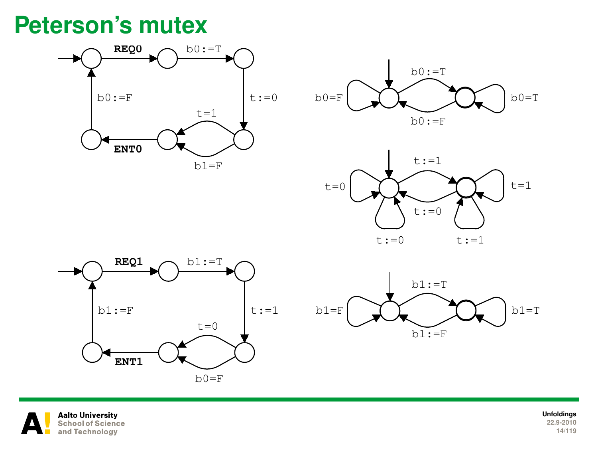#### **Peterson's mutex**













**Unfoldings 22.9-2010 14/119**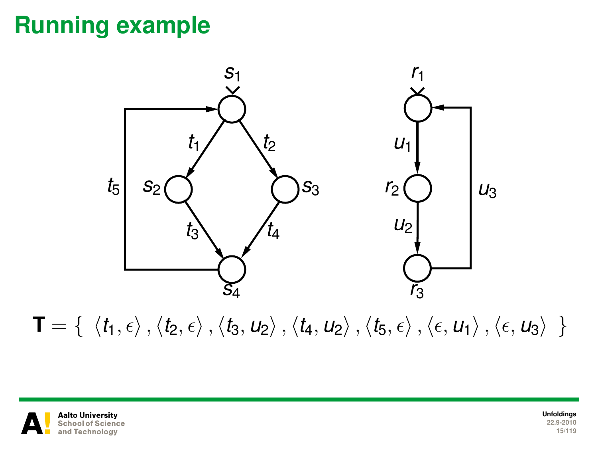## **Running example**



 $\mathbf{T} = \{ \langle t_1, \epsilon \rangle, \langle t_2, \epsilon \rangle, \langle t_3, u_2 \rangle, \langle t_4, u_2 \rangle, \langle t_5, \epsilon \rangle, \langle \epsilon, u_1 \rangle, \langle \epsilon, u_3 \rangle \}$ 



**Unfoldings 22.9-2010 15/119**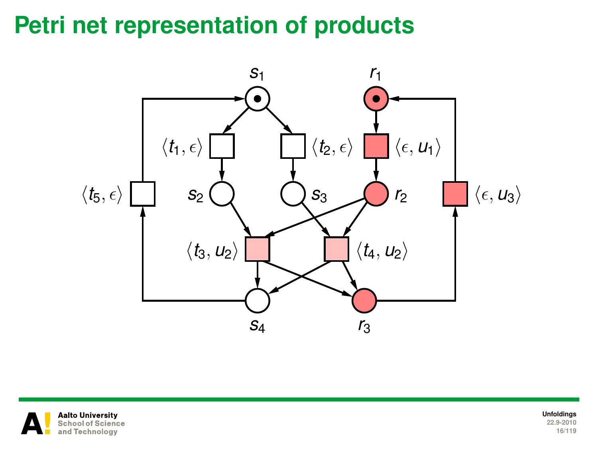#### **Petri net representation of products**





**Unfoldings 22.9-2010 16/119**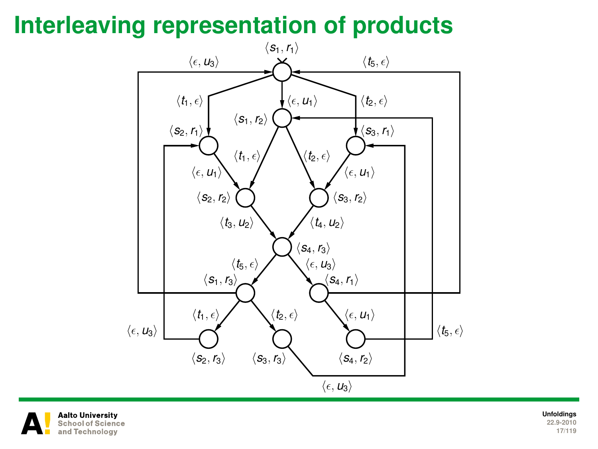#### **Interleaving representation of products**





**Unfoldings 22.9-2010 17/119**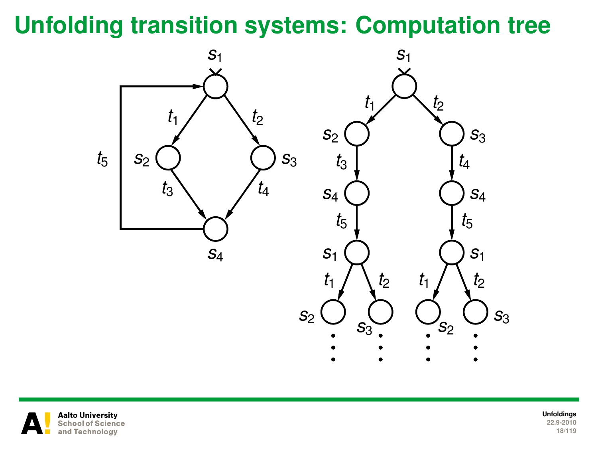#### **Unfolding transition systems: Computation tree**





**Unfoldings 22.9-2010 18/119**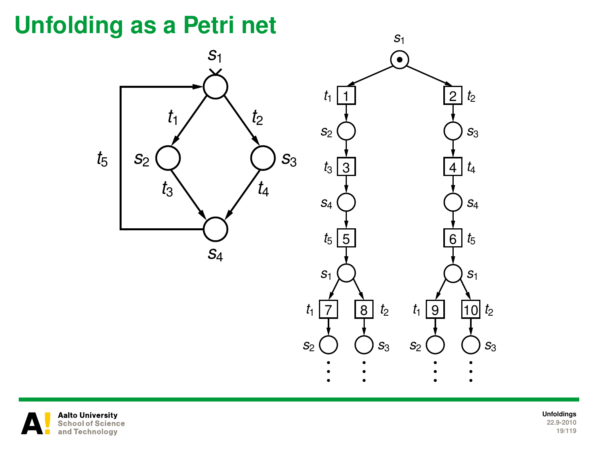#### **Unfolding as a Petri net**





**Unfoldings 22.9-2010 19/119**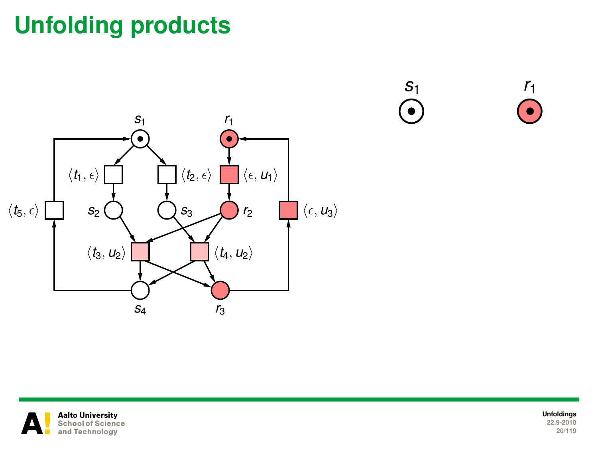

**Aalto University** School of Science<br>and Technology **Unfoldings 22.9-2010 20/119**

 $s_1$   $r_1$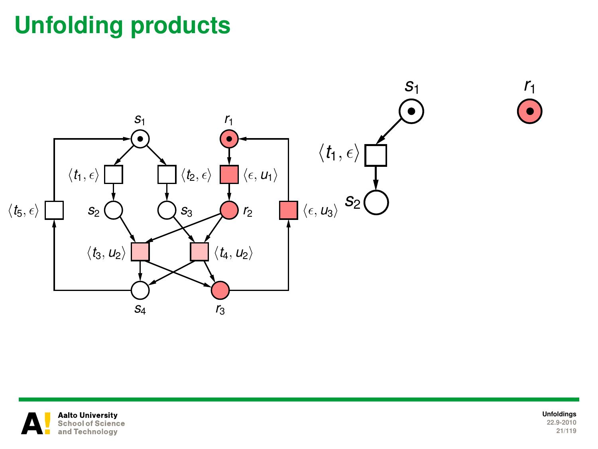



**Unfoldings 22.9-2010**

**21/119**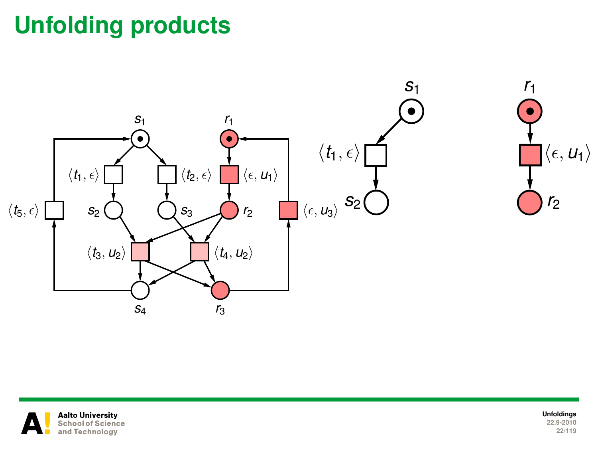



**Unfoldings 22.9-2010 22/119**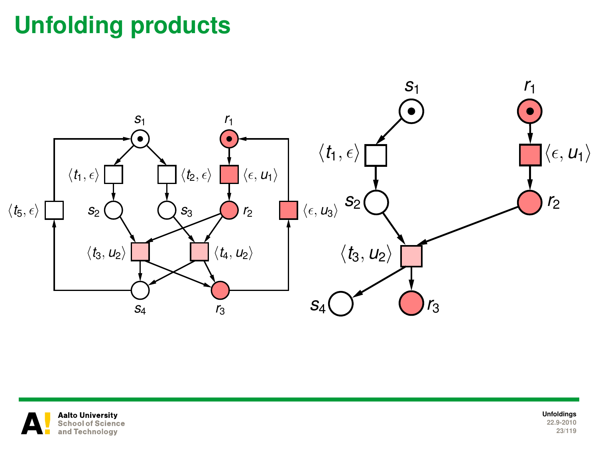



**Unfoldings 22.9-2010 23/119**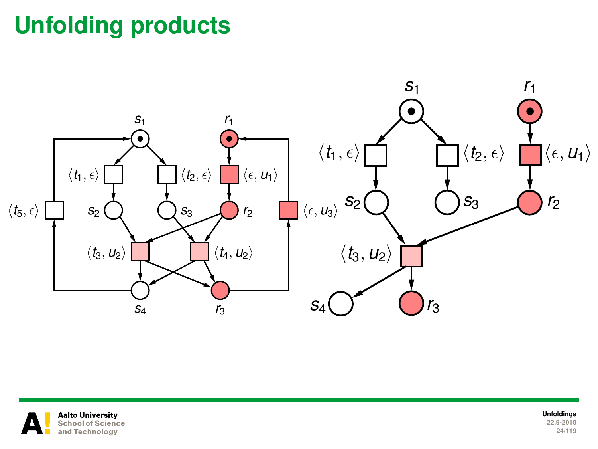



**Unfoldings 22.9-2010 24/119**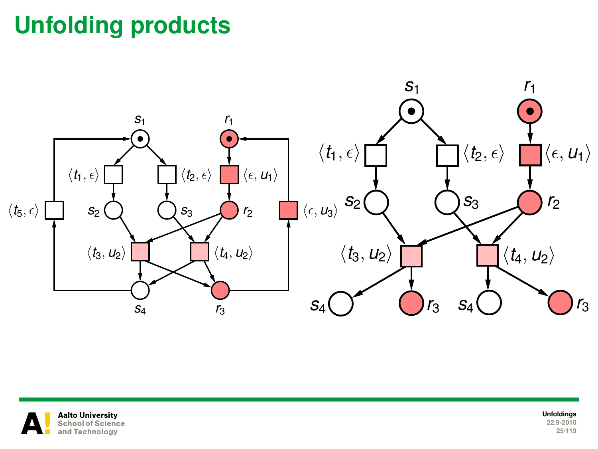



**Unfoldings 22.9-2010**

**25/119**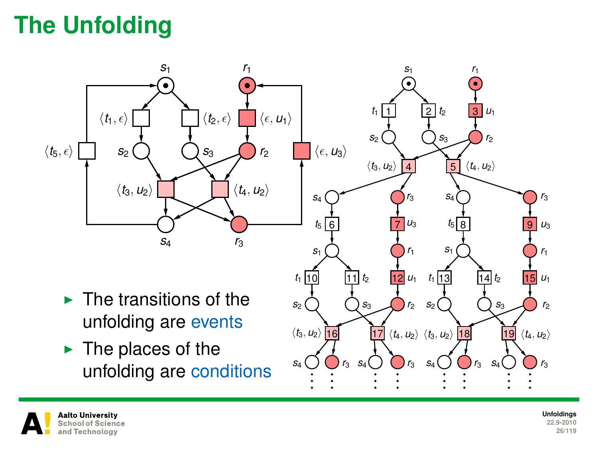# **The Unfolding**



**Aalto Universitv** School of Science and Technology

**Unfoldings 22.9-2010 26/119**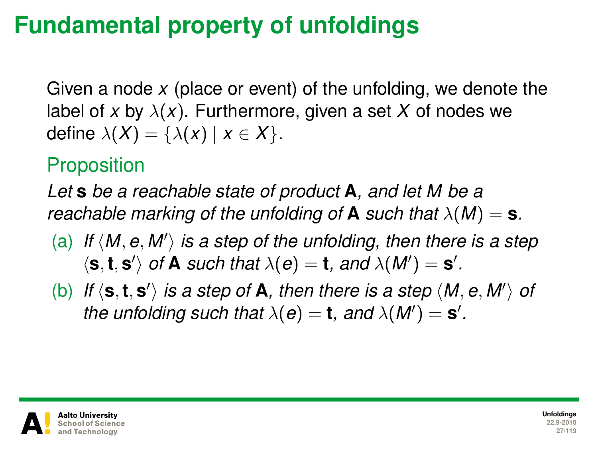## **Fundamental property of unfoldings**

Given a node *x* (place or event) of the unfolding, we denote the label of x by  $\lambda(x)$ . Furthermore, given a set X of nodes we define  $\lambda(X) = {\lambda(x) | x \in X}.$ 

#### **Proposition**

*Let* **s** *be a reachable state of product* **A***, and let M be a reachable marking of the unfolding of* **A** *such that*  $\lambda(M) =$  **s***.* 

- (a) If  $\langle M, e, M' \rangle$  is a step of the unfolding, then there is a step  $\langle$ **s**, **t**, **s**<sup> $\rangle$ </sup> *of* **A** *such that*  $\lambda$ (*e*) = **t***, and*  $\lambda$ (*M*<sup> $\prime$ </sup>) = **s**<sup> $\prime$ </sup>*.*
- (b) If  $\langle$ **s**, **t**, **s**<sup> $\langle$ </sup> *is a step of* **A**, then there is a step  $\langle M, e, M' \rangle$  of *the unfolding such that*  $\lambda(e) = \mathbf{t}$ *, and*  $\lambda(M') = \mathbf{s}'$ *.*

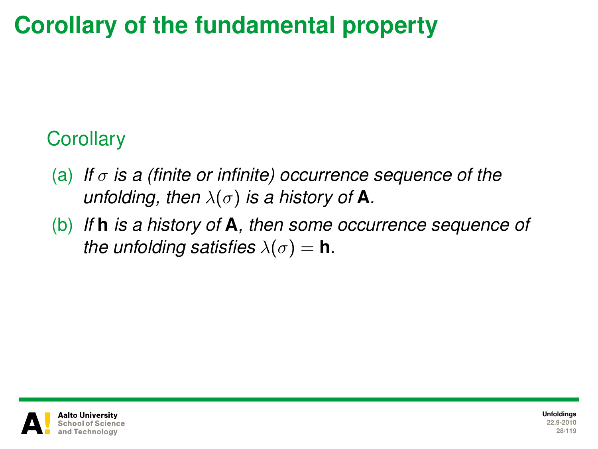# **Corollary of the fundamental property**

#### **Corollary**

- (a) *If* σ *is a (finite or infinite) occurrence sequence of the unfolding, then*  $\lambda(\sigma)$  *is a history of* **A***.*
- (b) *If* **h** *is a history of* **A***, then some occurrence sequence of the unfolding satisfies*  $\lambda(\sigma) = \mathbf{h}$ *.*



**Unfoldings 22.9-2010 28/119**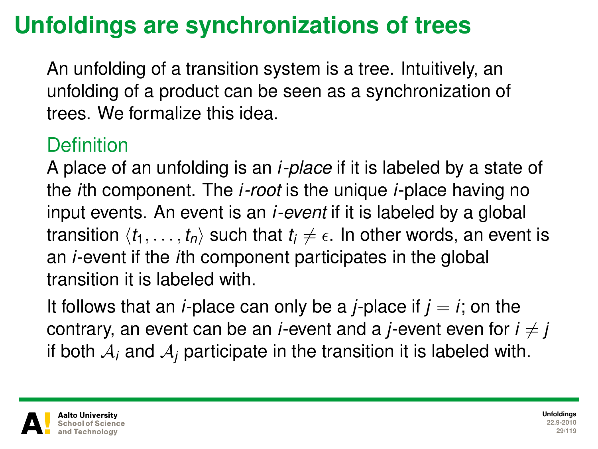# **Unfoldings are synchronizations of trees**

An unfolding of a transition system is a tree. Intuitively, an unfolding of a product can be seen as a synchronization of trees. We formalize this idea.

#### Definition

A place of an unfolding is an *i -place* if it is labeled by a state of the *i*th component. The *i -root* is the unique *i*-place having no input events. An event is an *i -event* if it is labeled by a global transition  $\langle t_1, \ldots, t_n \rangle$  such that  $t_i \neq \epsilon$ . In other words, an event is an *i*-event if the *i*th component participates in the global transition it is labeled with.

It follows that an *i*-place can only be a *j*-place if  $j = i$ ; on the contrary, an event can be an *i*-event and a *j*-event even for  $i \neq j$ if both  $A_i$  and  $A_j$  participate in the transition it is labeled with.

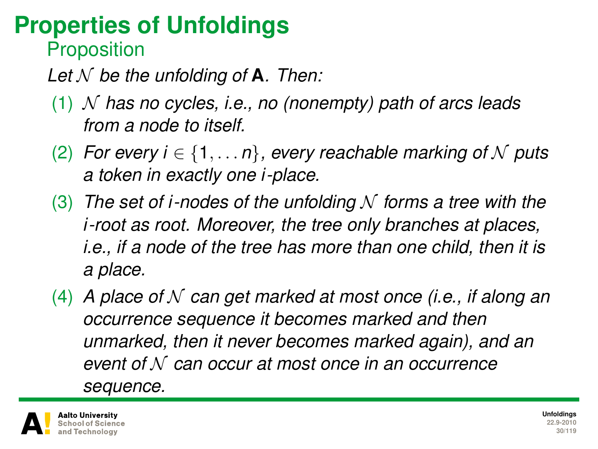#### **Properties of Unfoldings Proposition**

- *Let*  $N$  *be the unfolding of* **A***. Then:*
- (1) N *has no cycles, i.e., no (nonempty) path of arcs leads from a node to itself.*
- (2) *For every i*  $\in$  {1, ... *n*}*, every reachable marking of* N *puts a token in exactly one i -place.*
- (3) *The set of i -nodes of the unfolding* N *forms a tree with the i -root as root. Moreover, the tree only branches at places, i.e., if a node of the tree has more than one child, then it is a place.*
- (4) *A place of* N *can get marked at most once (i.e., if along an occurrence sequence it becomes marked and then unmarked, then it never becomes marked again), and an event of* N *can occur at most once in an occurrence sequence.*

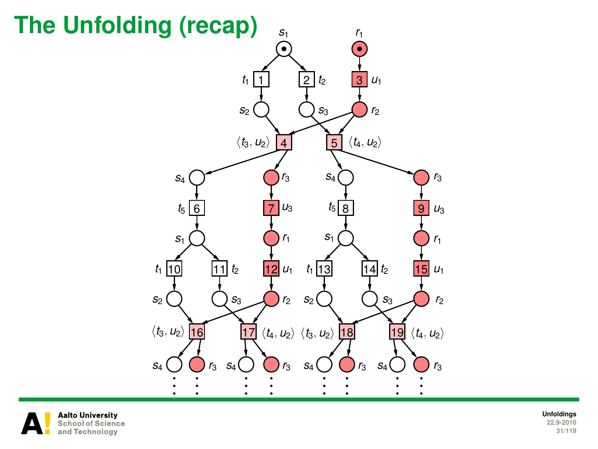#### **The Unfolding (recap)**





#### **Unfoldings 22.9-2010**

**31/119**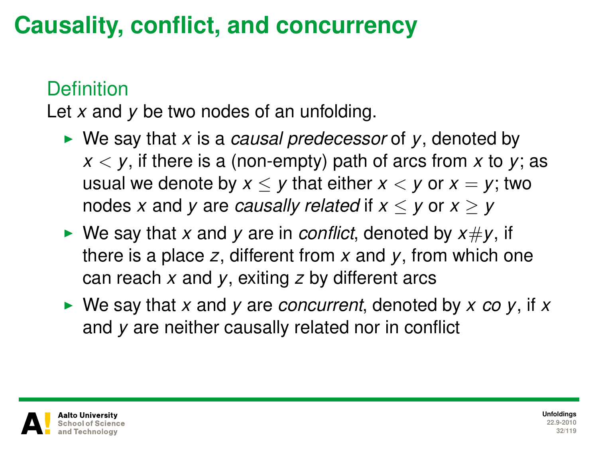# **Causality, conflict, and concurrency**

#### **Definition**

Let *x* and *y* be two nodes of an unfolding.

- $\triangleright$  We say that x is a *causal predecessor* of y, denoted by  $x < y$ , if there is a (non-empty) path of arcs from x to y; as usual we denote by  $x < y$  that either  $x < y$  or  $x = y$ ; two nodes *x* and *y* are *causally related* if *x* ≤ *y* or *x* ≥ *y*
- $\triangleright$  We say that *x* and *y* are in *conflict*, denoted by  $x \neq y$ , if there is a place *z*, different from *x* and *y*, from which one can reach *x* and *y*, exiting *z* by different arcs
- $\triangleright$  We say that *x* and *y* are *concurrent*, denoted by *x co y*, if *x* and *y* are neither causally related nor in conflict

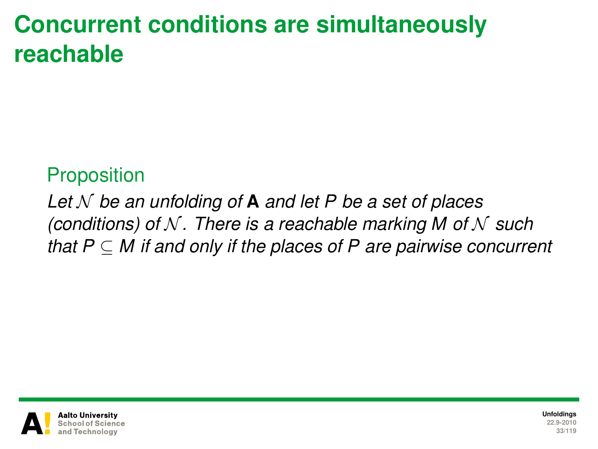#### **Concurrent conditions are simultaneously reachable**

#### **Proposition**

*Let* N *be an unfolding of* **A** *and let P be a set of places (conditions) of* N *. There is a reachable marking M of* N *such that P* ⊆ *M if and only if the places of P are pairwise concurrent*



**Unfoldings 22.9-2010 33/119**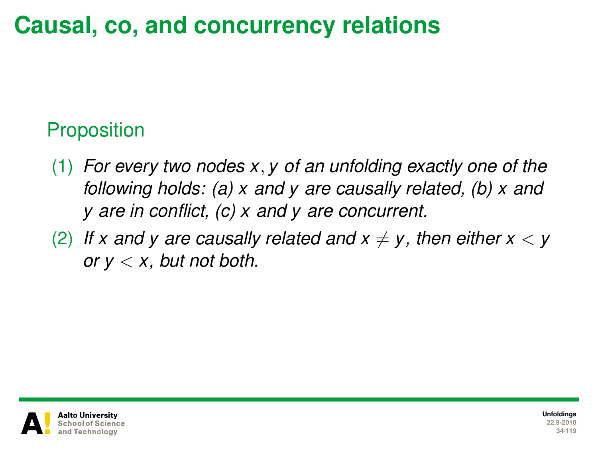## **Causal, co, and concurrency relations**

#### Proposition

- (1) *For every two nodes x*, *y of an unfolding exactly one of the following holds: (a) x and y are causally related, (b) x and y are in conflict, (c) x and y are concurrent.*
- (2) If x and y are causally related and  $x \neq y$ , then either  $x < y$ *or y* < *x, but not both.*



**Unfoldings 22.9-2010 34/119**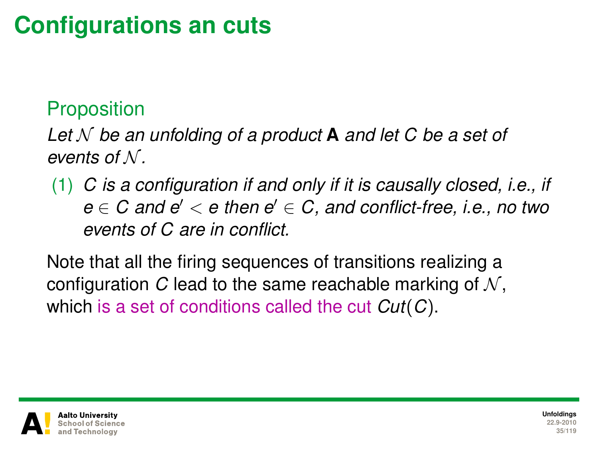## **Configurations an cuts**

#### **Proposition**

*Let* N *be an unfolding of a product* **A** *and let C be a set of events of*  $N$ .

(1) *C is a configuration if and only if it is causally closed, i.e., if*  $e \in C$  and  $e' < e$  then  $e' \in C$ , and conflict-free, i.e., no two *events of C are in conflict.*

Note that all the firing sequences of transitions realizing a configuration *C* lead to the same reachable marking of  $N$ , which is a set of conditions called the cut *Cut*(*C*).



**Unfoldings 22.9-2010 35/119**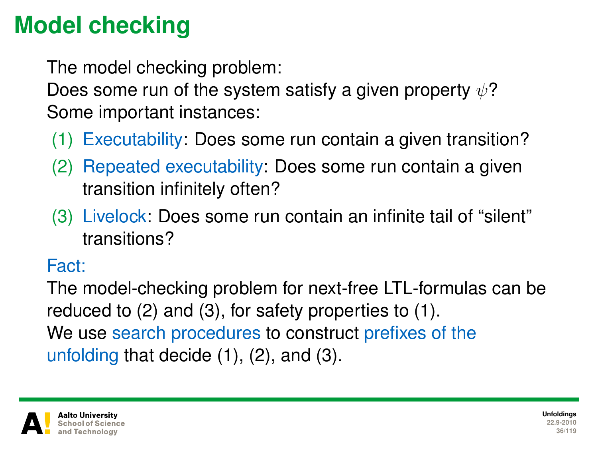# **Model checking**

The model checking problem:

Does some run of the system satisfy a given property  $\psi$ ? Some important instances:

- (1) Executability: Does some run contain a given transition?
- (2) Repeated executability: Does some run contain a given transition infinitely often?
- (3) Livelock: Does some run contain an infinite tail of "silent" transitions?

#### Fact:

The model-checking problem for next-free LTL-formulas can be reduced to (2) and (3), for safety properties to (1). We use search procedures to construct prefixes of the unfolding that decide (1), (2), and (3).

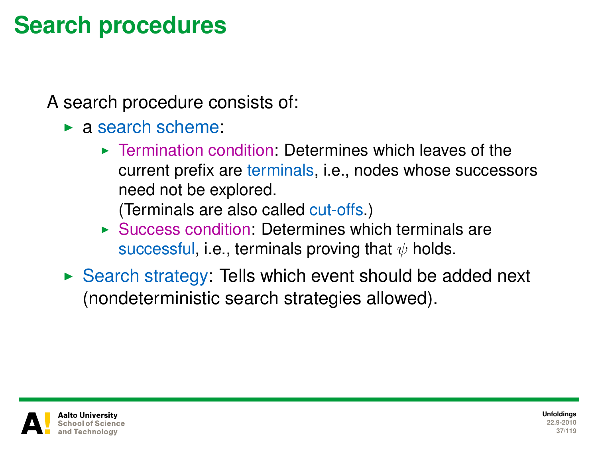## **Search procedures**

A search procedure consists of:

- $\blacktriangleright$  a search scheme:
	- $\triangleright$  Termination condition: Determines which leaves of the current prefix are terminals, i.e., nodes whose successors need not be explored. (Terminals are also called cut-offs.)
	- $\triangleright$  Success condition: Determines which terminals are successful, i.e., terminals proving that  $\psi$  holds.
- $\triangleright$  Search strategy: Tells which event should be added next (nondeterministic search strategies allowed).



**Unfoldings 22.9-2010 37/119**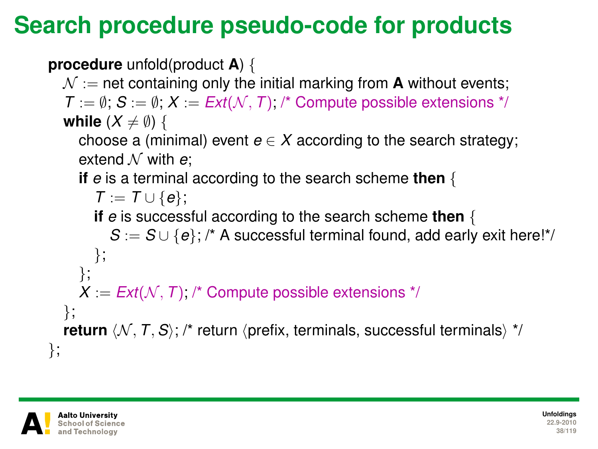## **Search procedure pseudo-code for products**

```
procedure unfold(product A) {
```
 $\mathcal{N}$  := net containing only the initial marking from **A** without events;  $T := \emptyset$ ;  $S = \emptyset$ ;  $X = \text{Ext}(\mathcal{N}, T)$ ; /\* Compute possible extensions \*/ **while**  $(X \neq \emptyset)$  {

choose a (minimal) event  $e \in X$  according to the search strategy; extend  $N$  with  $e$ :

**if** *e* is a terminal according to the search scheme **then** {

 $T := T \cup \{e\}$ ;

**if** *e* is successful according to the search scheme **then** {

*S* := *S* ∪ {*e*}; /\* A successful terminal found, add early exit here!\*/ }; };  $X = \text{Ext}(\mathcal{N}, T)$ , /\* Compute possible extensions \*/ }; **return**  $\langle N, T, S \rangle$ ; /\* return  $\langle$  prefix, terminals, successful terminals $\rangle$  \*/



};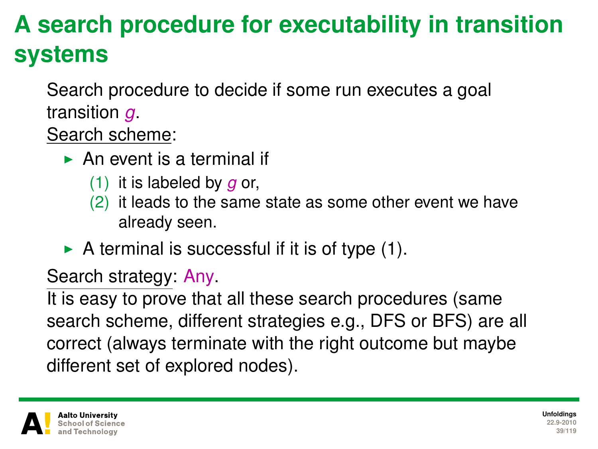# **A search procedure for executability in transition systems**

Search procedure to decide if some run executes a goal transition *g*.

Search scheme:

- $\triangleright$  An event is a terminal if
	- (1) it is labeled by *g* or,
	- (2) it leads to the same state as some other event we have already seen.
- $\triangleright$  A terminal is successful if it is of type (1).

Search strategy: Any.

It is easy to prove that all these search procedures (same search scheme, different strategies e.g., DFS or BFS) are all correct (always terminate with the right outcome but maybe different set of explored nodes).

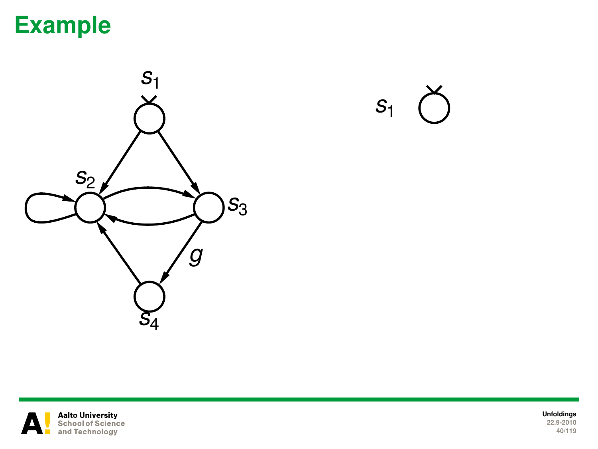



*s*<sup>1</sup>



**Unfoldings 22.9-2010 40/119**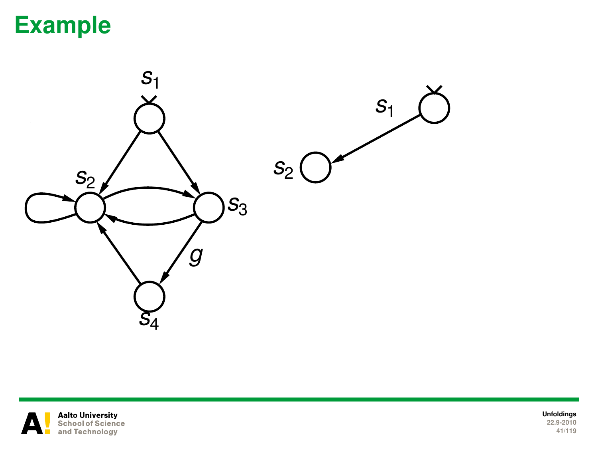



**Unfoldings 22.9-2010 41/119**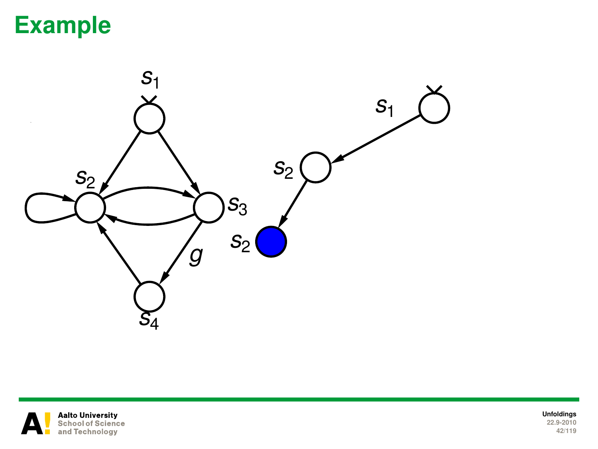



**Unfoldings 22.9-2010 42/119**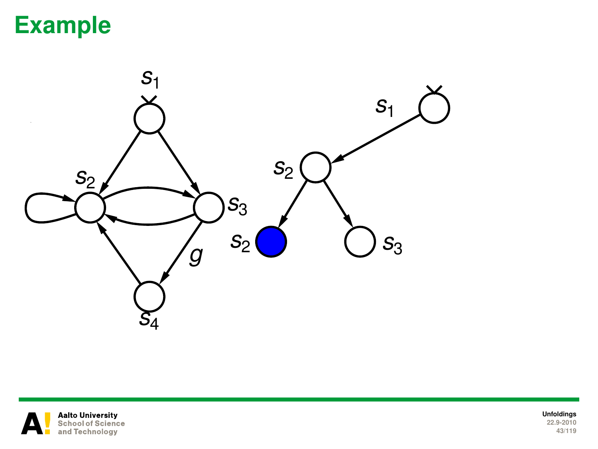



**Unfoldings 22.9-2010 43/119**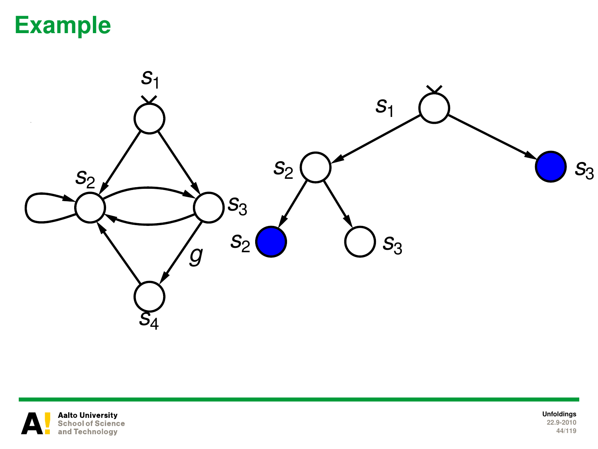



**Unfoldings 22.9-2010 44/119**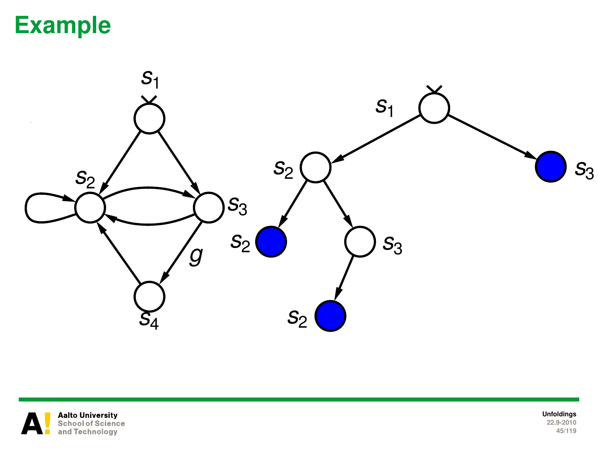



**Unfoldings 22.9-2010 45/119**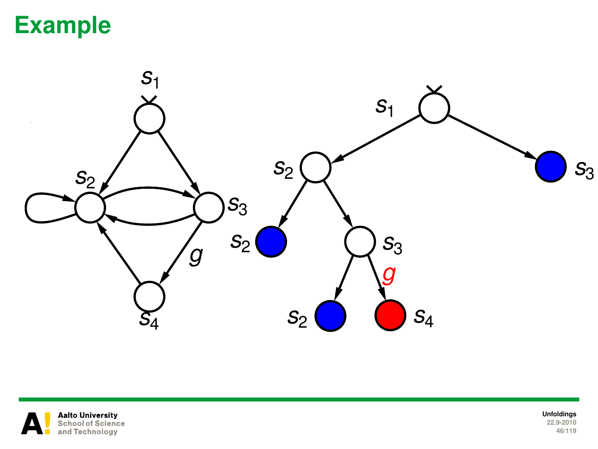



**Unfoldings 22.9-2010 46/119**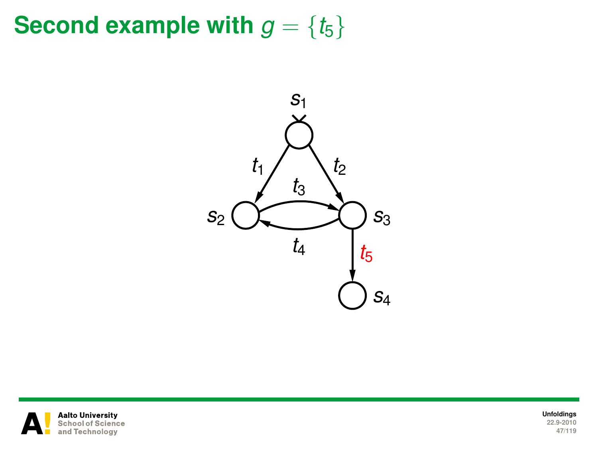**Second example with**  $g = \{t_5\}$ 





**Unfoldings 22.9-2010 47/119**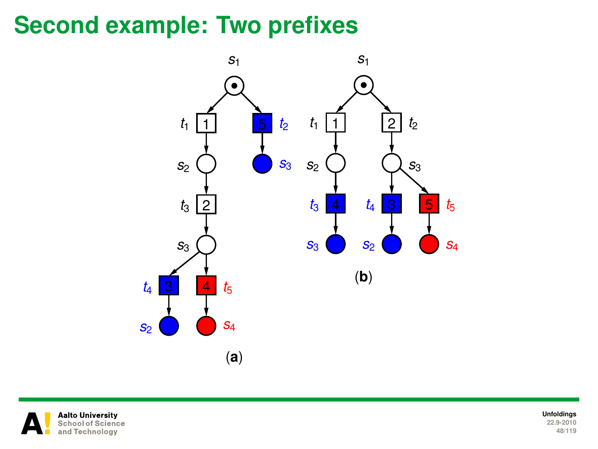#### **Second example: Two prefixes**





**Unfoldings 22.9-2010 48/119**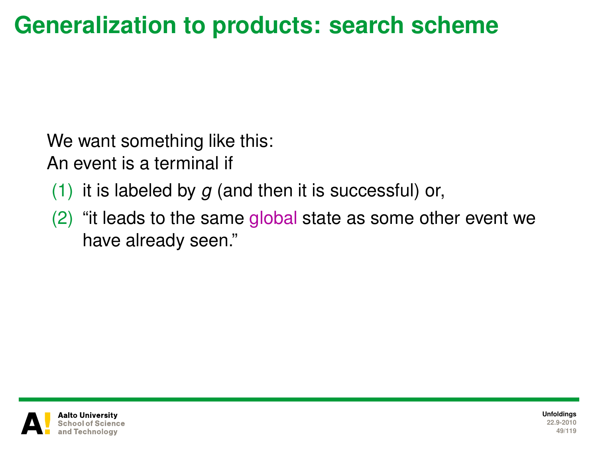#### **Generalization to products: search scheme**

We want something like this:

- An event is a terminal if
- (1) it is labeled by *g* (and then it is successful) or,
- (2) "it leads to the same global state as some other event we have already seen."

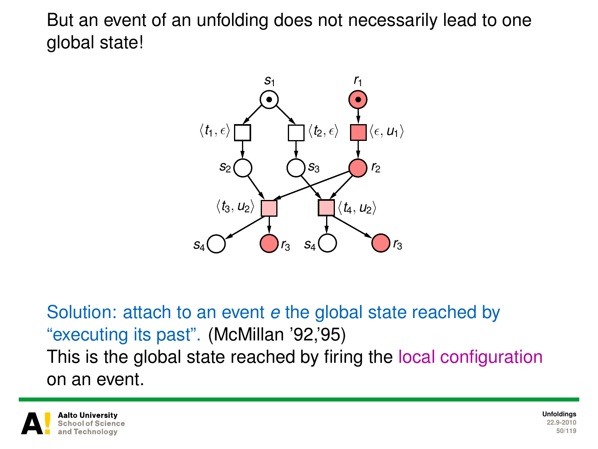But an event of an unfolding does not necessarily lead to one global state!



Solution: attach to an event *e* the global state reached by "executing its past". (McMillan '92,'95) This is the global state reached by firing the local configuration on an event.



**Unfoldings 22.9-2010 50/119**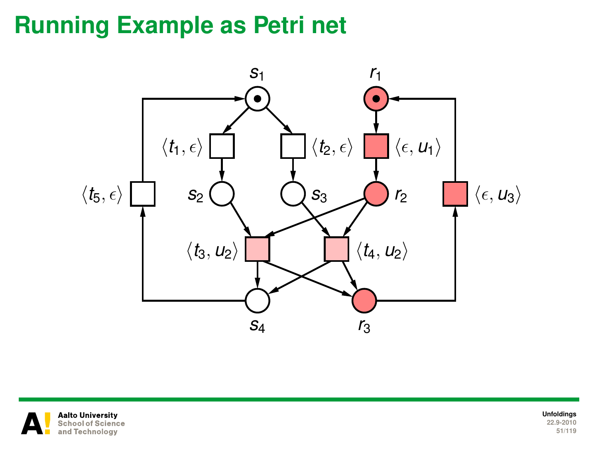## **Running Example as Petri net**





**Unfoldings 22.9-2010 51/119**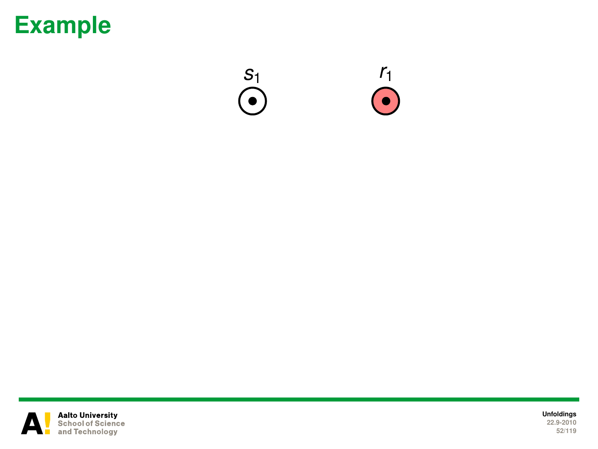





**Unfoldings 22.9-2010 52/119**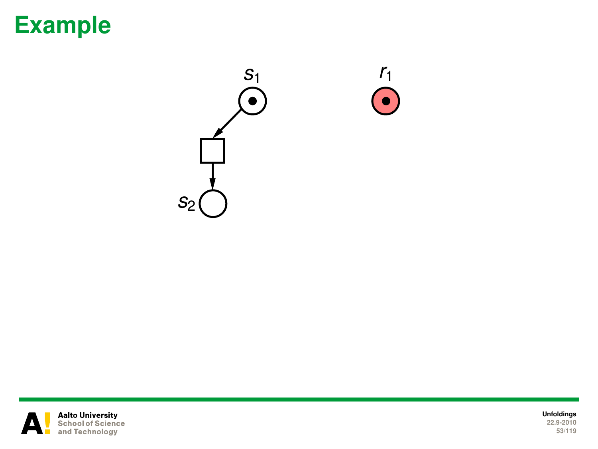







**Unfoldings 22.9-2010 53/119**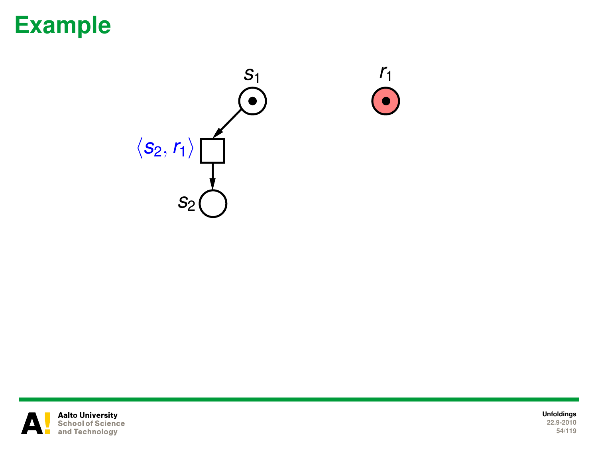



*r*1



**Unfoldings 22.9-2010 54/119**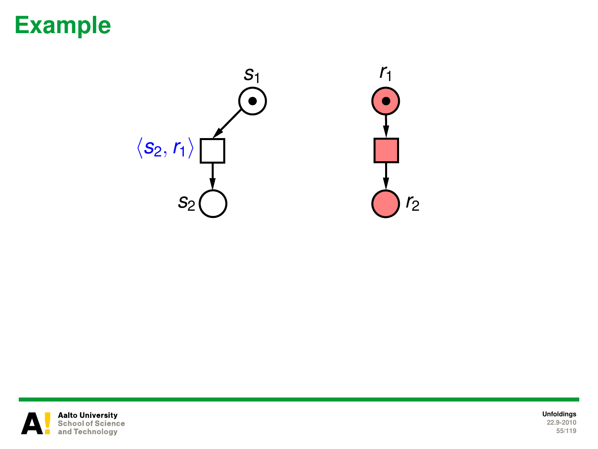





**Unfoldings 22.9-2010 55/119**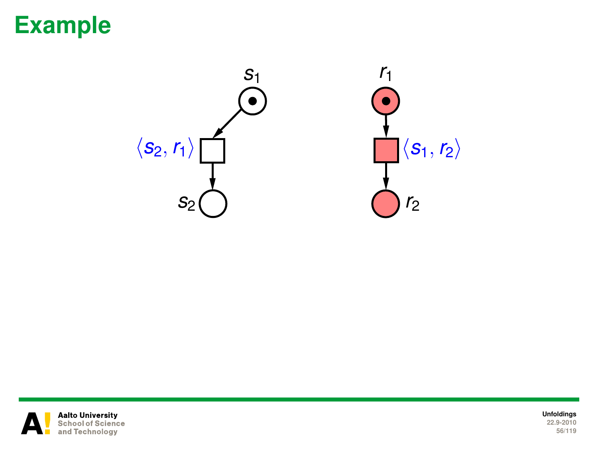





**Unfoldings 22.9-2010 56/119**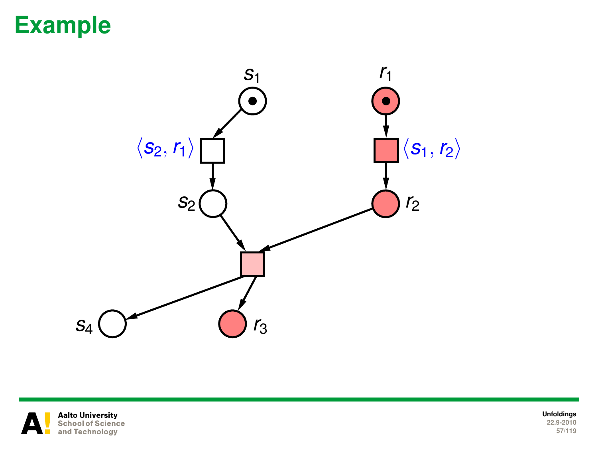



**Unfoldings 22.9-2010 57/119**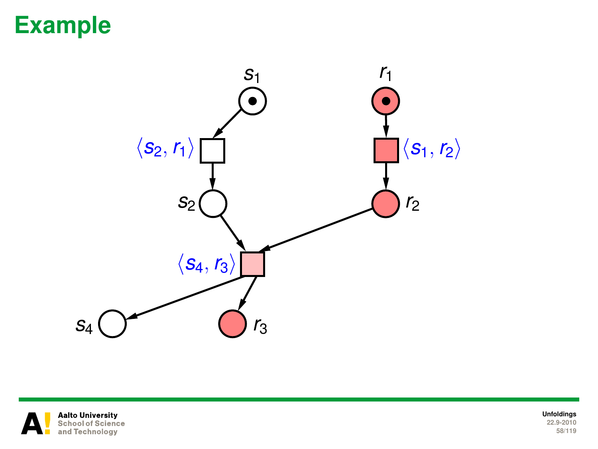



**Unfoldings 22.9-2010 58/119**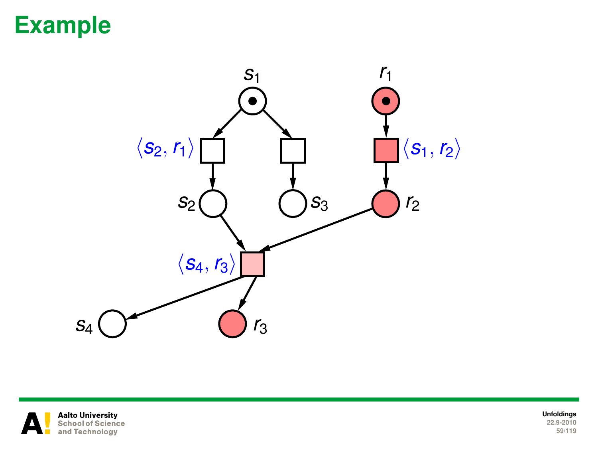



**Unfoldings 22.9-2010 59/119**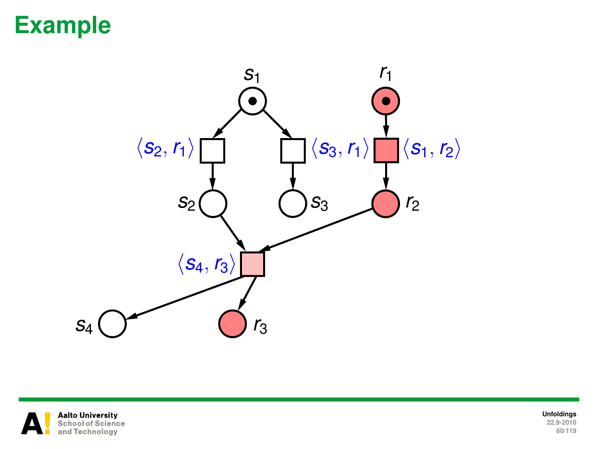



**Unfoldings 22.9-2010 60/119**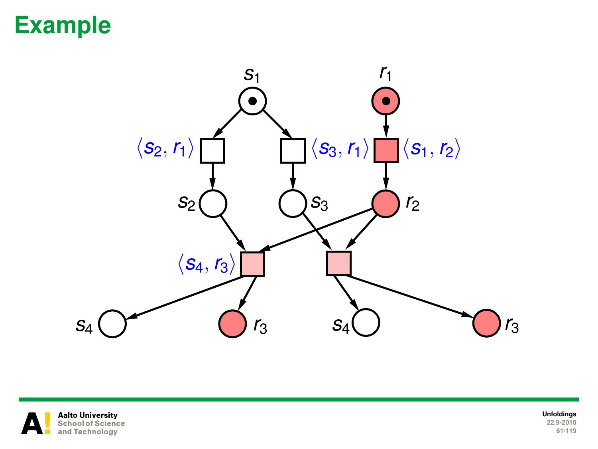



**Unfoldings 22.9-2010 61/119**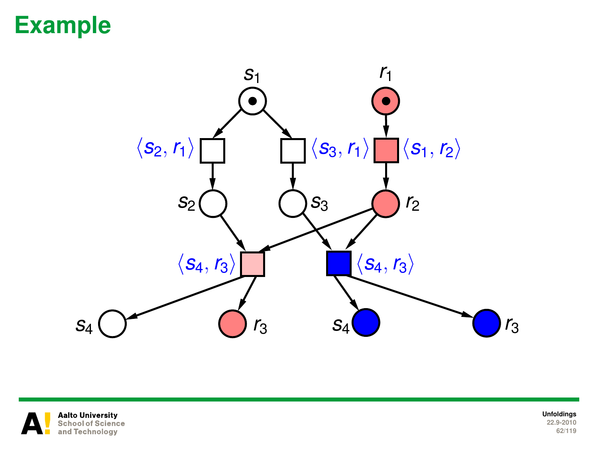



**Unfoldings 22.9-2010 62/119**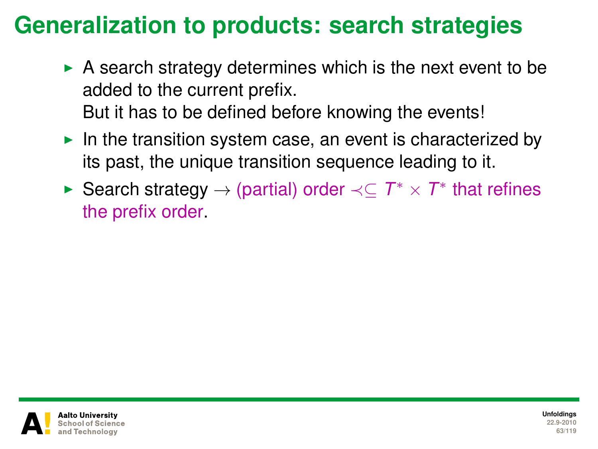## **Generalization to products: search strategies**

- $\triangleright$  A search strategy determines which is the next event to be added to the current prefix. But it has to be defined before knowing the events!
- In the transition system case, an event is characterized by its past, the unique transition sequence leading to it.
- ► Search strategy  $\rightarrow$  (partial) order  $\prec \subseteq T^* \times T^*$  that refines the prefix order.

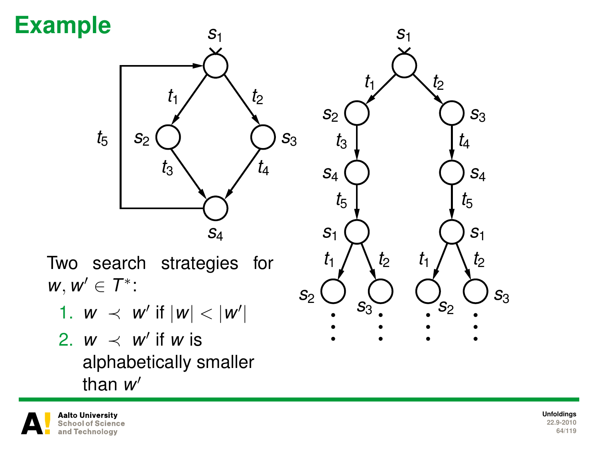# **Example**  $s_1$



 $w, w' \in T^*$ :

- 1.  $w \prec w'$  if  $|w| < |w'|$
- 2.  $w \prec w'$  if w is alphabetically smaller than *w* 0





**Unfoldings 22.9-2010 64/119**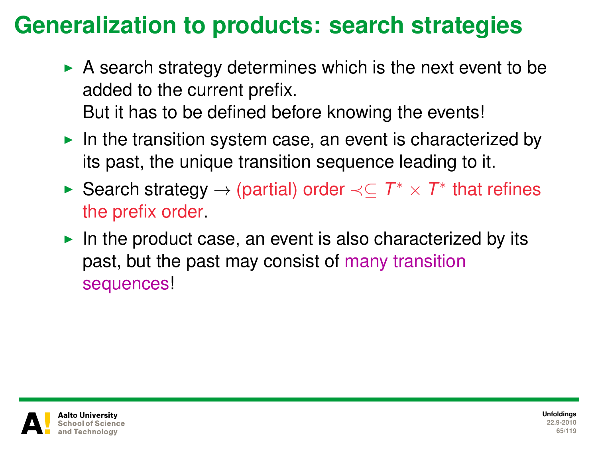## **Generalization to products: search strategies**

- $\triangleright$  A search strategy determines which is the next event to be added to the current prefix. But it has to be defined before knowing the events!
- In the transition system case, an event is characterized by its past, the unique transition sequence leading to it.
- ► Search strategy  $\rightarrow$  (partial) order  $\prec \subseteq T^* \times T^*$  that refines the prefix order.
- $\blacktriangleright$  In the product case, an event is also characterized by its past, but the past may consist of many transition sequences!

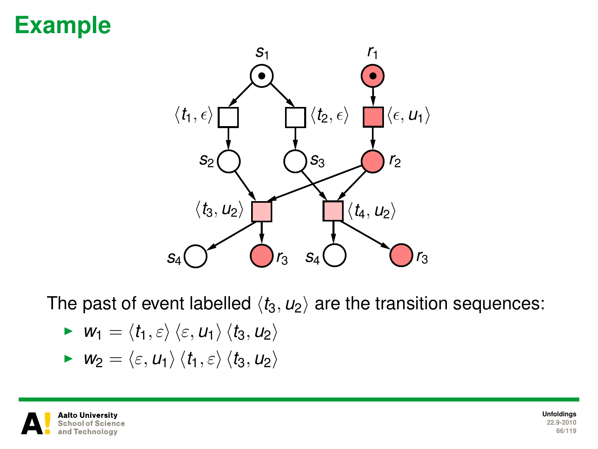

The past of event labelled  $\langle t_3, u_2 \rangle$  are the transition sequences:

 $W_1 = \langle t_1, \varepsilon \rangle \langle \varepsilon, u_1 \rangle \langle t_3, u_2 \rangle$ 

$$
\quad \blacktriangleright \ w_2 = \left\langle \varepsilon, u_1 \right\rangle \left\langle t_1, \varepsilon \right\rangle \left\langle t_3, u_2 \right\rangle
$$



**Unfoldings 22.9-2010 66/119**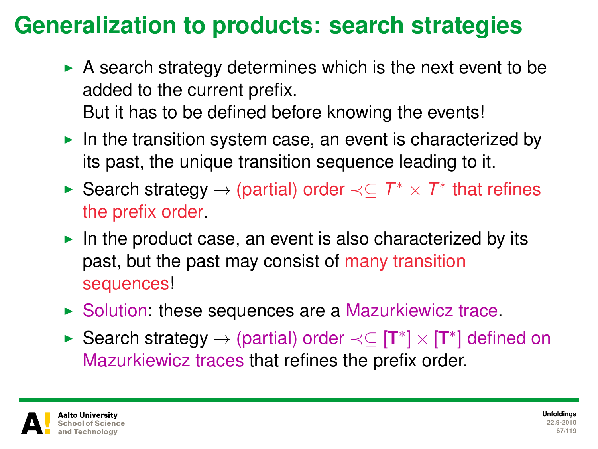## **Generalization to products: search strategies**

- $\triangleright$  A search strategy determines which is the next event to be added to the current prefix. But it has to be defined before knowing the events!
- In the transition system case, an event is characterized by its past, the unique transition sequence leading to it.
- ► Search strategy  $\rightarrow$  (partial) order  $\prec \subseteq T^* \times T^*$  that refines the prefix order.
- $\blacktriangleright$  In the product case, an event is also characterized by its past, but the past may consist of many transition sequences!
- $\triangleright$  Solution: these sequences are a Mazurkiewicz trace.
- ► Search strategy  $\rightarrow$  (partial) order  $\prec\subseteq$  [T<sup>\*</sup>]  $\times$  [T<sup>\*</sup>] defined on Mazurkiewicz traces that refines the prefix order.

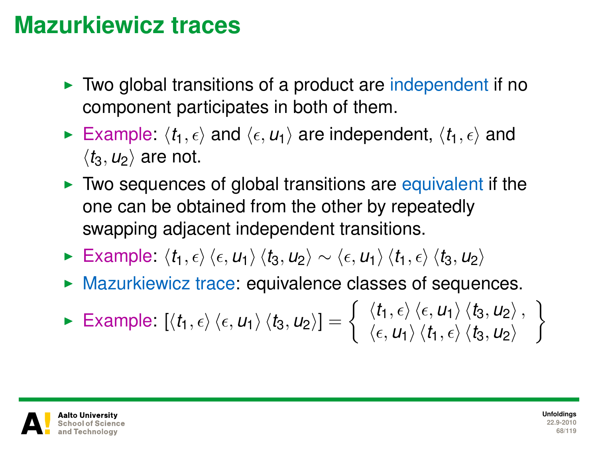#### **Mazurkiewicz traces**

- $\triangleright$  Two global transitions of a product are independent if no component participates in both of them.
- Example:  $\langle t_1, \epsilon \rangle$  and  $\langle \epsilon, u_1 \rangle$  are independent,  $\langle t_1, \epsilon \rangle$  and  $\langle t_3, u_2 \rangle$  are not.
- $\triangleright$  Two sequences of global transitions are equivalent if the one can be obtained from the other by repeatedly swapping adjacent independent transitions.
- **Example:**  $\langle t_1, \epsilon \rangle$   $\langle \epsilon, u_1 \rangle$   $\langle t_3, u_2 \rangle$  ∼  $\langle \epsilon, u_1 \rangle$   $\langle t_1, \epsilon \rangle$   $\langle t_3, u_2 \rangle$
- $\blacktriangleright$  Mazurkiewicz trace: equivalence classes of sequences.
- $\blacktriangleright$  Example:  $[\langle t_1, \epsilon \rangle \langle \epsilon, u_1 \rangle \langle t_3, u_2 \rangle] = \begin{cases} \langle t_1, \epsilon \rangle \langle \epsilon, u_1 \rangle \langle t_3, u_2 \rangle, \\ \langle \epsilon, u_1 \rangle \langle t_1, \epsilon \rangle \langle t_2, u_2 \rangle, \end{cases}$  $\langle \epsilon, u_1 \rangle \langle t_1, \epsilon \rangle \langle t_3, u_2 \rangle$  $\mathcal{L}$

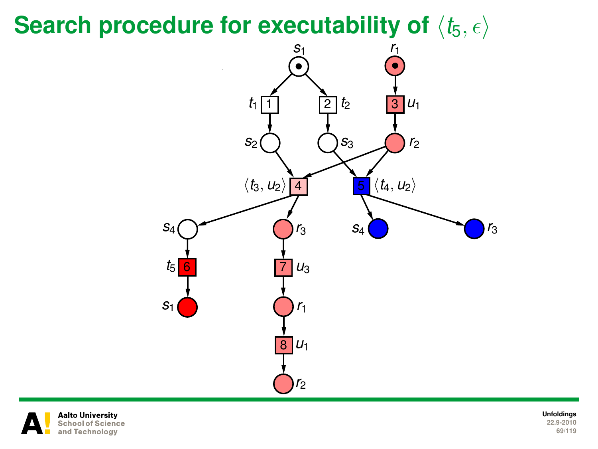



**Unfoldings 22.9-2010 69/119**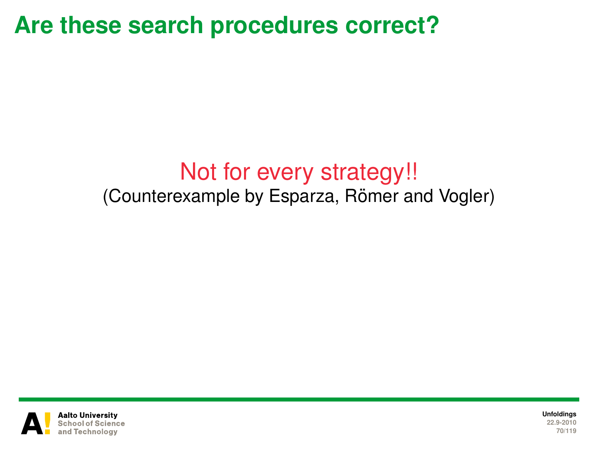**Are these search procedures correct?**

#### Not for every strategy!!

#### (Counterexample by Esparza, Römer and Vogler)



**Unfoldings 22.9-2010 70/119**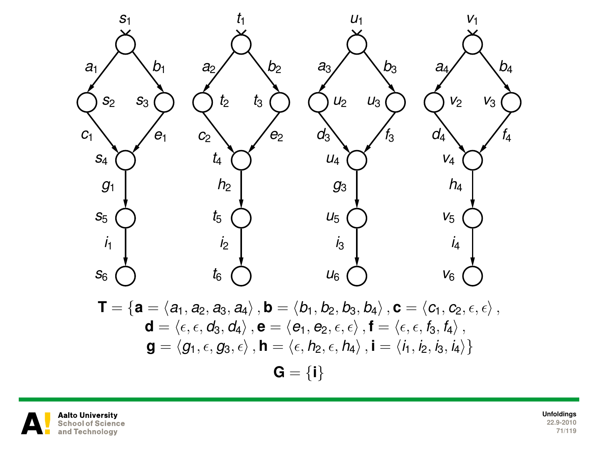



**Unfoldings 22.9-2010 71/119**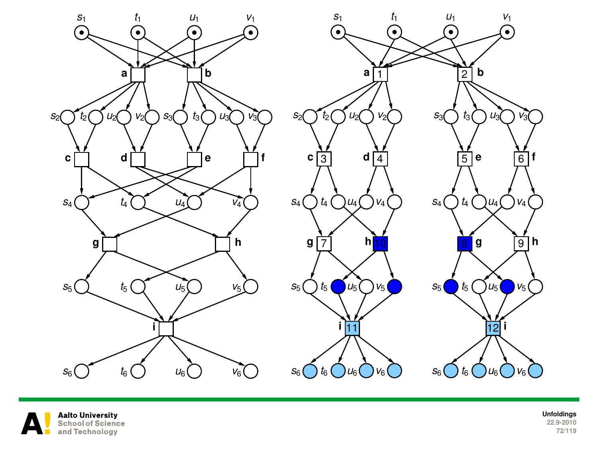



**Unfoldings 22.9-2010 72/119**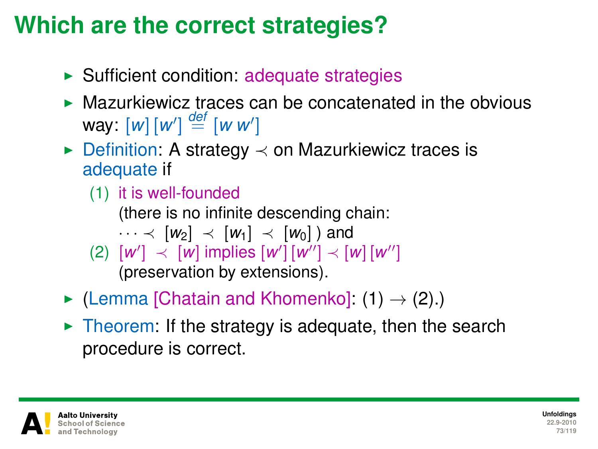#### **Which are the correct strategies?**

- $\triangleright$  Sufficient condition: adequate strategies
- $\blacktriangleright$  Mazurkiewicz traces can be concatenated in the obvious way: [*w*] [*w'*]  $\overset{\mathit{def}}{=}$  [*w w'*]
- ► Definition: A strategy  $\prec$  on Mazurkiewicz traces is adequate if
	- (1) it is well-founded (there is no infinite descending chain:  $\cdots \prec [w_2] \prec [w_1] \prec [w_0]$ ) and  $(2)$   $[w'] \prec [w]$  implies  $[w'] [w''] \prec [w] [w'']$ 
		- (preservation by extensions).
- $\blacktriangleright$  (Lemma [Chatain and Khomenko]: (1) → (2).)
- $\triangleright$  Theorem: If the strategy is adequate, then the search procedure is correct.

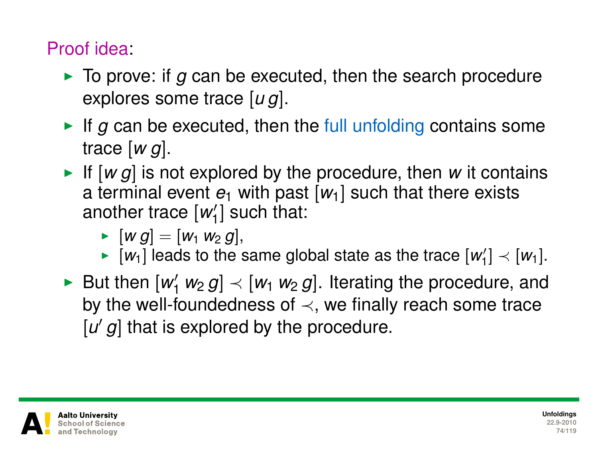#### Proof idea:

- $\blacktriangleright$  To prove: if  $q$  can be executed, then the search procedure explores some trace [*u g*].
- If  $q$  can be executed, then the full unfolding contains some trace [*w g*].
- If  $[w g]$  is not explored by the procedure, then *w* it contains a terminal event *e*<sup>1</sup> with past [*w*1] such that there exists another trace  $[w'_1]$  such that:
	- $\blacktriangleright$   $[w q] = [w_1 w_2 q],$
	- ►  $[w_1]$  leads to the same global state as the trace  $[w'_1] \prec [w_1]$ .
- <span id="page-73-0"></span>► But then  $[w'_1 w_2 g]$   $\prec$   $[w_1 w_2 g]$ . Iterating the procedure, and by the well-foundedness of  $\prec$ , we finally reach some trace [u' g] that is explored by the procedure.

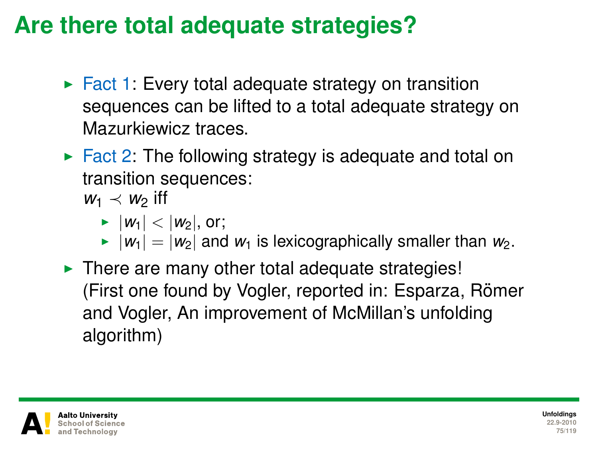#### **Are there total adequate strategies?**

- $\triangleright$  Fact 1: Every total adequate strategy on transition sequences can be lifted to a total adequate strategy on Mazurkiewicz traces.
- $\triangleright$  Fact 2: The following strategy is adequate and total on transition sequences:

 $w_1 \prec w_2$  iff

- $\blacktriangleright$   $|w_1|$  <  $|w_2|$ , or;
- $|w_1| = |w_2|$  and  $w_1$  is lexicographically smaller than  $w_2$ .
- $\blacktriangleright$  There are many other total adequate strategies! (First one found by Vogler, reported in: Esparza, Römer and Vogler, An improvement of McMillan's unfolding algorithm)

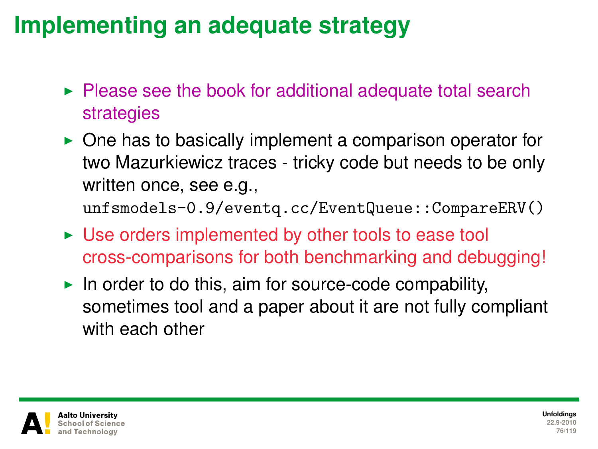#### **Implementing an adequate strategy**

- $\triangleright$  Please see the book for additional adequate total search strategies
- $\triangleright$  One has to basically implement a comparison operator for two Mazurkiewicz traces - tricky code but needs to be only written once, see e.g., unfsmodels-0.9/eventq.cc/EventQueue::CompareERV()
- $\triangleright$  Use orders implemented by other tools to ease tool cross-comparisons for both benchmarking and debugging!
- In order to do this, aim for source-code compability, sometimes tool and a paper about it are not fully compliant with each other

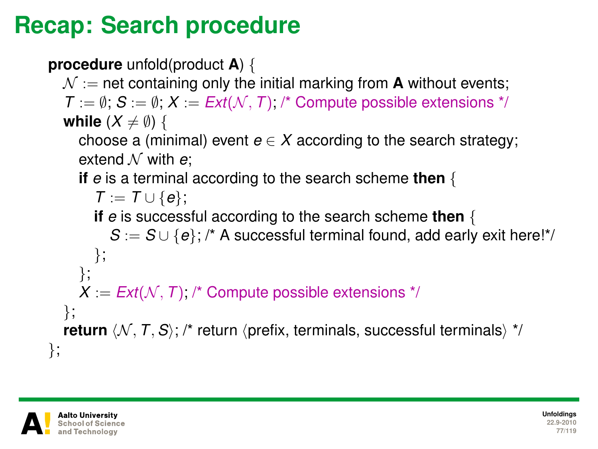# **Recap: Search procedure**

**procedure** unfold(product **A**) {  $N :=$  net containing only the initial marking from **A** without events;  $T = \emptyset$ ;  $S = \emptyset$ ;  $X = \text{Ext}(\mathcal{N}, T)$ ; /\* Compute possible extensions \*/ **while**  $(X \neq \emptyset)$  { choose a (minimal) event  $e \in X$  according to the search strategy; extend  $N$  with  $e$ : **if** *e* is a terminal according to the search scheme **then** {  $T := T \cup \{e\}$ ; **if** *e* is successful according to the search scheme **then** { *S* := *S* ∪ {*e*}; /\* A successful terminal found, add early exit here!\*/ }; };  $X = \text{Ext}(\mathcal{N}, T)$ , /\* Compute possible extensions \*/ }; **return**  $\langle N, T, S \rangle$ ; /\* return  $\langle$  prefix, terminals, successful terminals $\rangle$  \*/ };

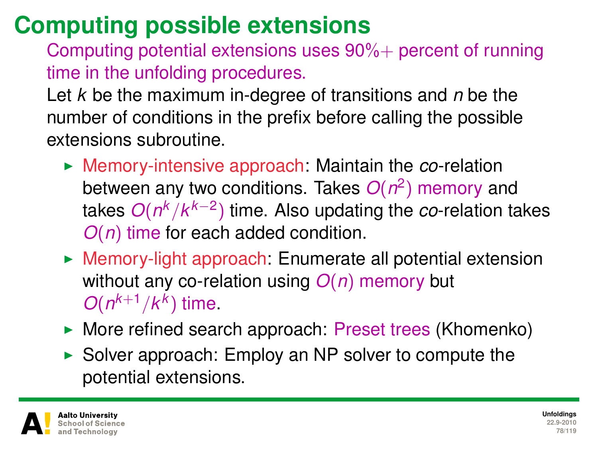# **Computing possible extensions**

Computing potential extensions uses 90%+ percent of running time in the unfolding procedures.

Let *k* be the maximum in-degree of transitions and *n* be the number of conditions in the prefix before calling the possible extensions subroutine.

- ► Memory-intensive approach: Maintain the *co*-relation between any two conditions. Takes *O*(*n* 2 ) memory and takes *O*(*n <sup>k</sup>* /*k k*−2 ) time. Also updating the *co*-relation takes *O*(*n*) time for each added condition.
- $\triangleright$  Memory-light approach: Enumerate all potential extension without any co-relation using *O*(*n*) memory but  $O(n^{k+1}/k^k)$  time.
- $\triangleright$  More refined search approach: Preset trees (Khomenko)
- $\triangleright$  Solver approach: Employ an NP solver to compute the potential extensions.

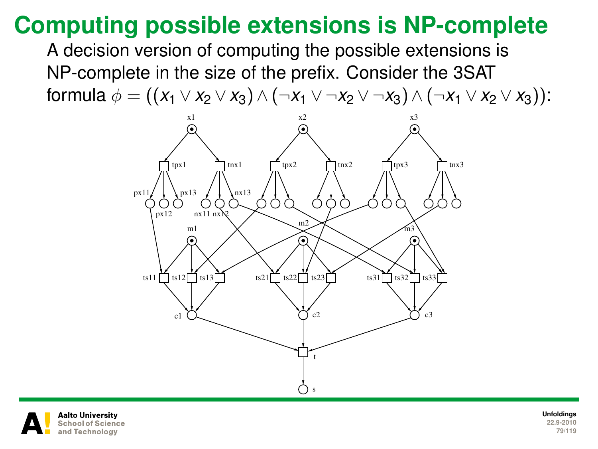#### **Computing possible extensions is NP-complete**

A decision version of computing the possible extensions is NP-complete in the size of the prefix. Consider the 3SAT formula  $\phi = ((x_1 \vee x_2 \vee x_3) \wedge (\neg x_1 \vee \neg x_2 \vee \neg x_3) \wedge (\neg x_1 \vee x_2 \vee x_3))$ :



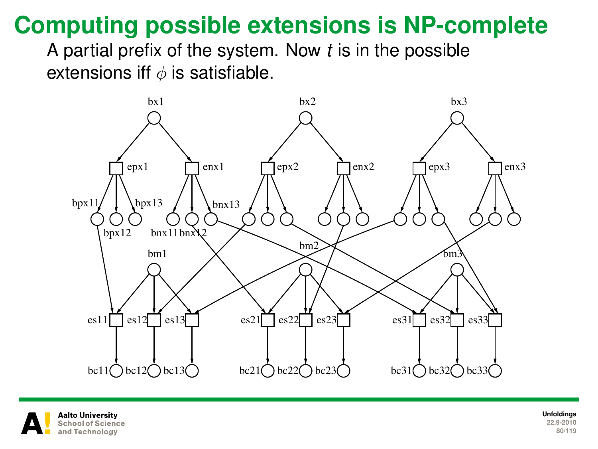#### **Computing possible extensions is NP-complete**

A partial prefix of the system. Now *t* is in the possible extensions iff  $\phi$  is satisfiable.





**Unfoldings 22.9-2010 80/119**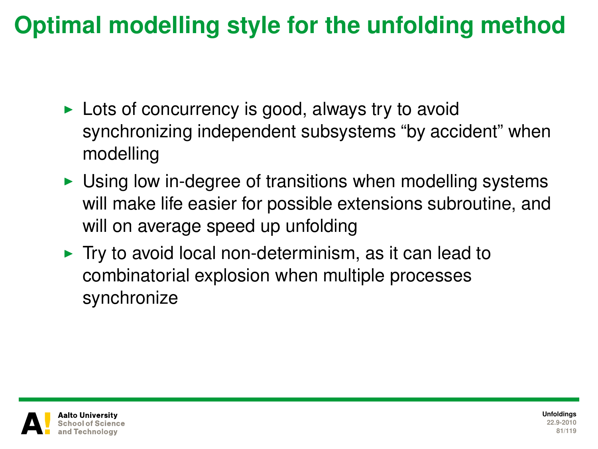#### **Optimal modelling style for the unfolding method**

- $\triangleright$  Lots of concurrency is good, always try to avoid synchronizing independent subsystems "by accident" when modelling
- $\triangleright$  Using low in-degree of transitions when modelling systems will make life easier for possible extensions subroutine, and will on average speed up unfolding
- $\blacktriangleright$  Try to avoid local non-determinism, as it can lead to combinatorial explosion when multiple processes synchronize

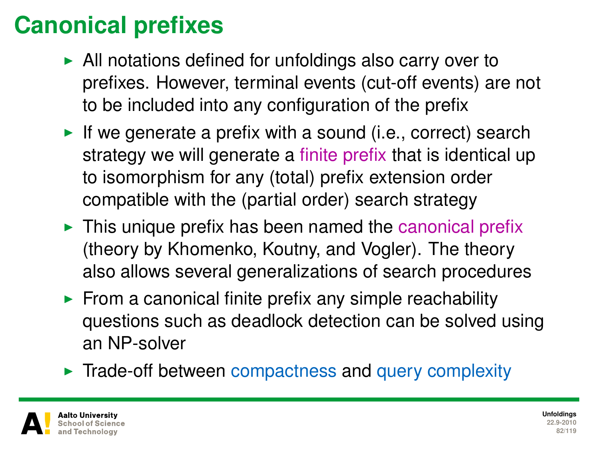#### **Canonical prefixes**

- $\triangleright$  All notations defined for unfoldings also carry over to prefixes. However, terminal events (cut-off events) are not to be included into any configuration of the prefix
- If we generate a prefix with a sound (i.e., correct) search strategy we will generate a finite prefix that is identical up to isomorphism for any (total) prefix extension order compatible with the (partial order) search strategy
- $\blacktriangleright$  This unique prefix has been named the canonical prefix (theory by Khomenko, Koutny, and Vogler). The theory also allows several generalizations of search procedures
- $\triangleright$  From a canonical finite prefix any simple reachability questions such as deadlock detection can be solved using an NP-solver
- $\triangleright$  Trade-off between compactness and query complexity

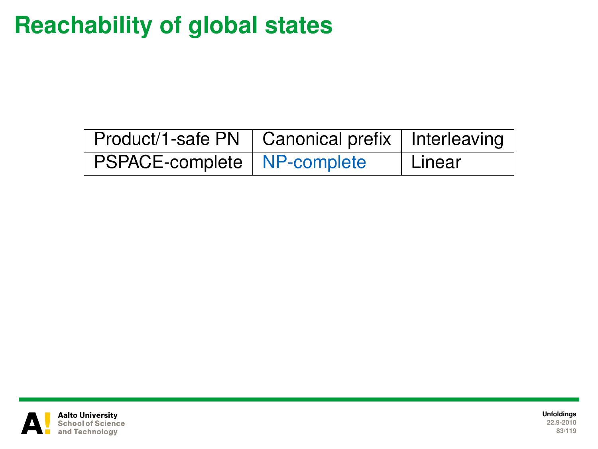#### **Reachability of global states**

| Product/1-safe PN   Canonical prefix   Interleaving |        |  |  |
|-----------------------------------------------------|--------|--|--|
| <b>PSPACE-complete</b> NP-complete                  | Linear |  |  |



**Unfoldings 22.9-2010 83/119**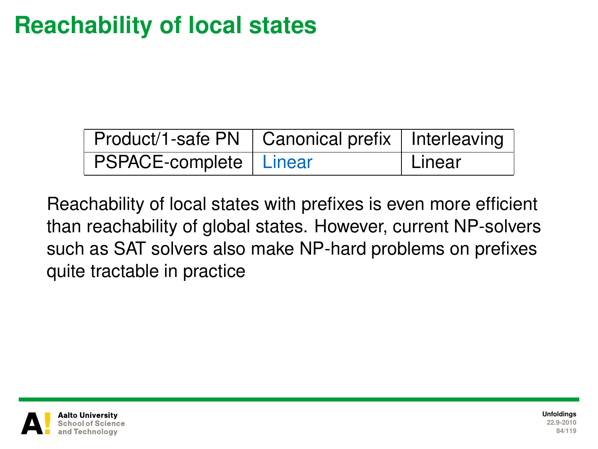#### **Reachability of local states**

| Product/1-safe PN   Canonical prefix   Interleaving |        |  |  |
|-----------------------------------------------------|--------|--|--|
| PSPACE-complete   Linear                            | Linear |  |  |

Reachability of local states with prefixes is even more efficient than reachability of global states. However, current NP-solvers such as SAT solvers also make NP-hard problems on prefixes quite tractable in practice



**Unfoldings 22.9-2010 84/119**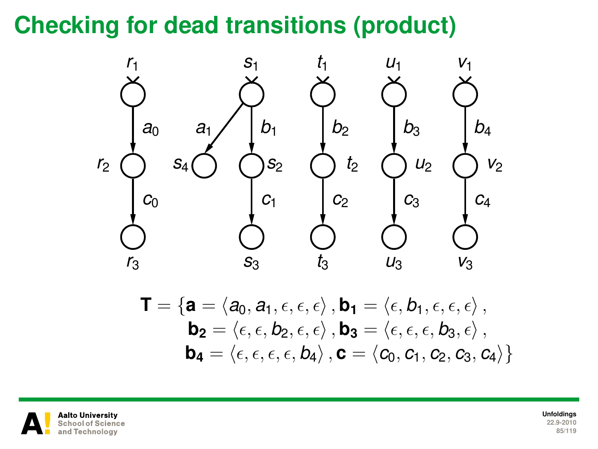#### **Checking for dead transitions (product)**



$$
\mathbf{T} = \left\{ \mathbf{a} = \langle a_0, a_1, \epsilon, \epsilon, \epsilon \rangle ~, \mathbf{b_1} = \langle \epsilon, b_1, \epsilon, \epsilon, \epsilon \rangle ~, \right.\\ \left. \mathbf{b_2} = \langle \epsilon, \epsilon, b_2, \epsilon, \epsilon \rangle ~, \mathbf{b_3} = \langle \epsilon, \epsilon, \epsilon, b_3, \epsilon \rangle ~, \right.\\ \left. \mathbf{b_4} = \langle \epsilon, \epsilon, \epsilon, \epsilon, b_4 \rangle ~, \mathbf{c} = \langle c_0, c_1, c_2, c_3, c_4 \rangle \right\}
$$



**Unfoldings 22.9-2010 85/119**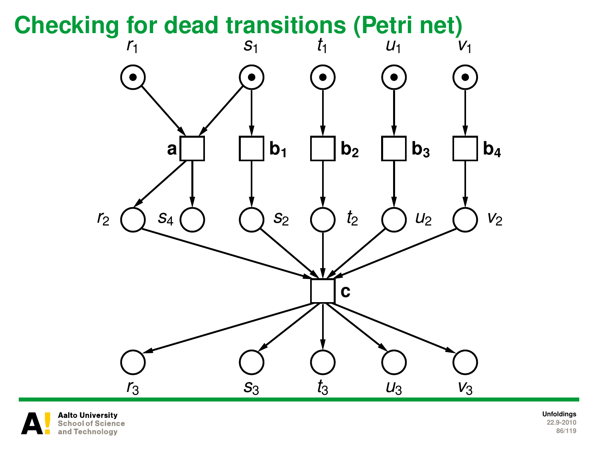# **Checking for dead transitions (Petri net)**<br>  $r_1$   $r_2$   $r_3$   $r_4$   $r_5$   $r_6$   $r_7$   $r_8$   $r_9$   $r_1$   $r_1$   $r_2$   $r_3$   $r_4$





#### **Unfoldings 22.9-2010**

**86/119**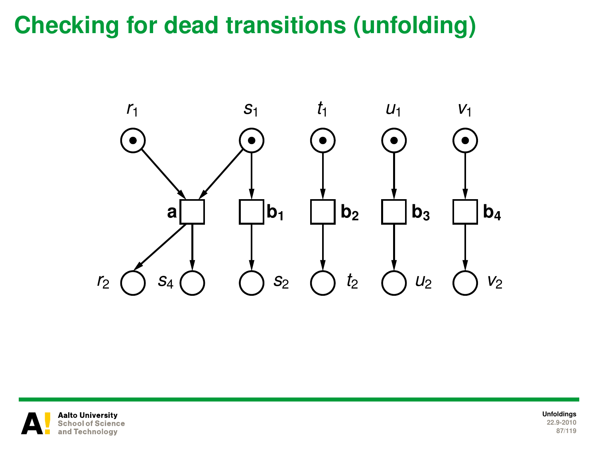#### **Checking for dead transitions (unfolding)**





**Unfoldings 22.9-2010 87/119**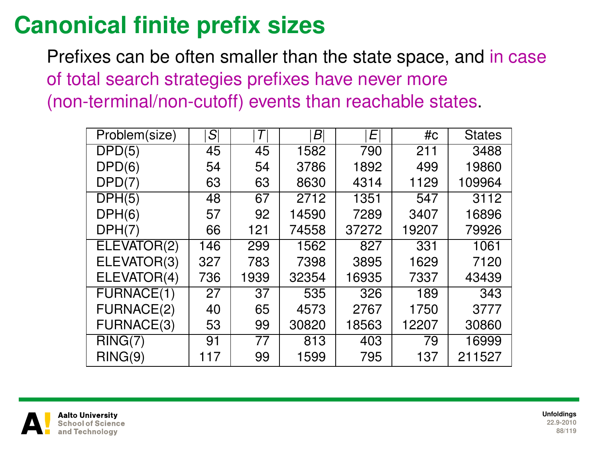#### **Canonical finite prefix sizes**

Prefixes can be often smaller than the state space, and in case of total search strategies prefixes have never more (non-terminal/non-cutoff) events than reachable states.

| Problem(size) | SI  | Τ    | B     | Е     | #c    | <b>States</b> |
|---------------|-----|------|-------|-------|-------|---------------|
| DPD(5)        | 45  | 45   | 1582  | 790   | 211   | 3488          |
| DPD(6)        | 54  | 54   | 3786  | 1892  | 499   | 19860         |
| DPD(7)        | 63  | 63   | 8630  | 4314  | 1129  | 109964        |
| DPH(5)        | 48  | 67   | 2712  | 1351  | 547   | 3112          |
| DPH(6)        | 57  | 92   | 14590 | 7289  | 3407  | 16896         |
| DPH(7)        | 66  | 121  | 74558 | 37272 | 19207 | 79926         |
| ELEVATOR(2)   | 146 | 299  | 1562  | 827   | 331   | 1061          |
| ELEVATOR(3)   | 327 | 783  | 7398  | 3895  | 1629  | 7120          |
| ELEVATOR(4)   | 736 | 1939 | 32354 | 16935 | 7337  | 43439         |
| FURNACE(1)    | 27  | 37   | 535   | 326   | 189   | 343           |
| FURNACE(2)    | 40  | 65   | 4573  | 2767  | 1750  | 3777          |
| FURNACE(3)    | 53  | 99   | 30820 | 18563 | 12207 | 30860         |
| RING(7)       | 91  | 77   | 813   | 403   | 79    | 16999         |
| RING(9)       | 117 | 99   | 1599  | 795   | 137   | 211527        |

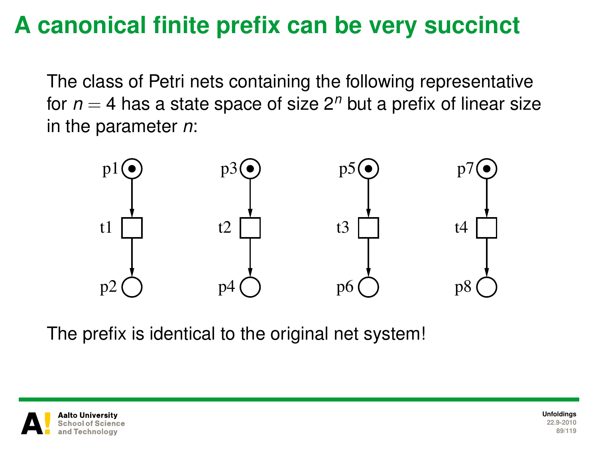#### **A canonical finite prefix can be very succinct**

The class of Petri nets containing the following representative for  $n = 4$  has a state space of size  $2^n$  but a prefix of linear size in the parameter *n*:



The prefix is identical to the original net system!



**Unfoldings 22.9-2010 89/119**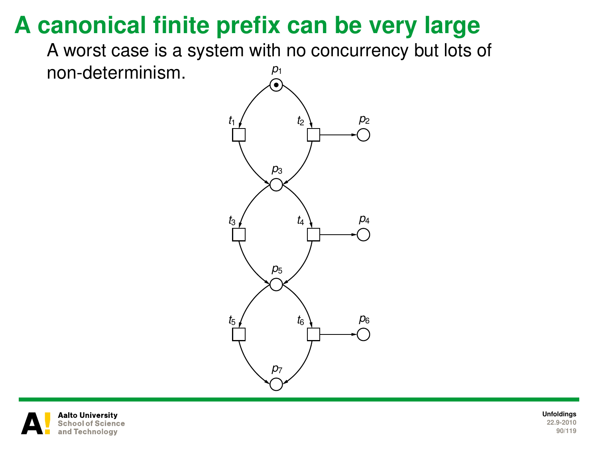#### **A canonical finite prefix can be very large**

A worst case is a system with no concurrency but lots of non-determinism.





**Unfoldings 22.9-2010**

**90/119**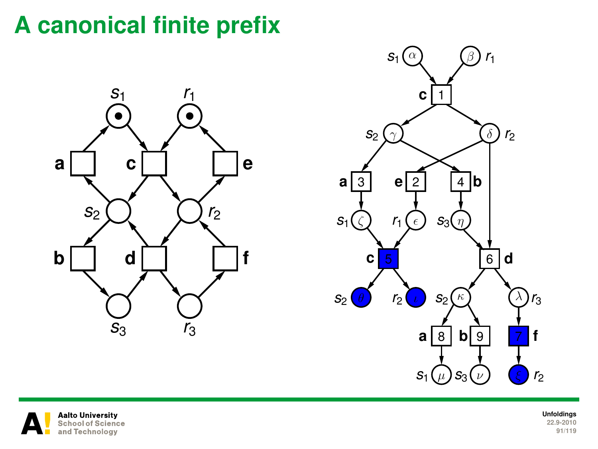#### **A canonical finite prefix**







**Unfoldings 22.9-2010 91/119**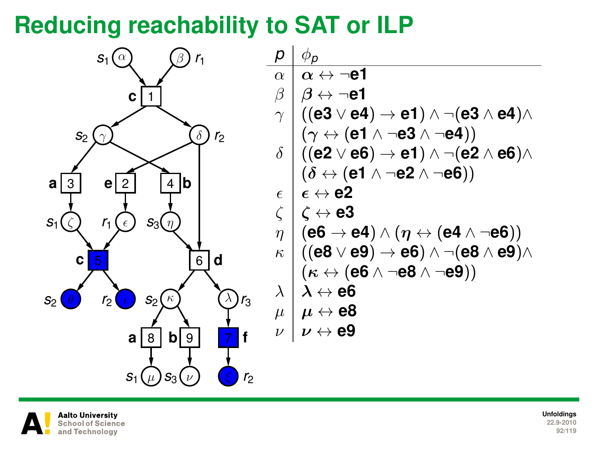#### **Reducing reachability to SAT or ILP**





**Unfoldings 22.9-2010 92/119**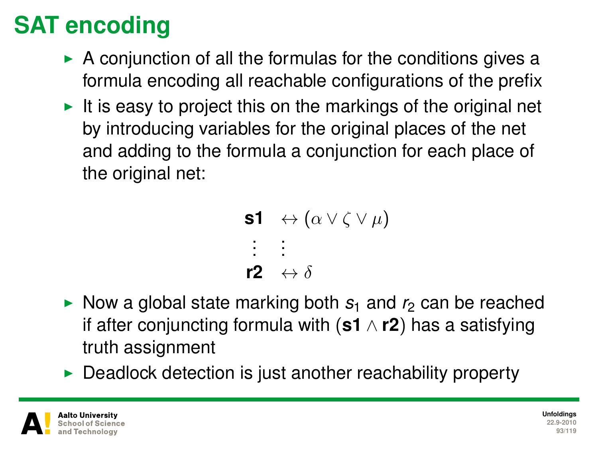# **SAT encoding**

- $\triangleright$  A conjunction of all the formulas for the conditions gives a formula encoding all reachable configurations of the prefix
- It is easy to project this on the markings of the original net by introducing variables for the original places of the net and adding to the formula a conjunction for each place of the original net:

**s1**  $\leftrightarrow (\alpha \vee \beta \vee \mu)$ . . . . . . **r2**  $\leftrightarrow$   $\delta$ 

- $\triangleright$  Now a global state marking both  $s_1$  and  $r_2$  can be reached if after conjuncting formula with (**s1** ∧ **r2**) has a satisfying truth assignment
- $\triangleright$  Deadlock detection is just another reachability property

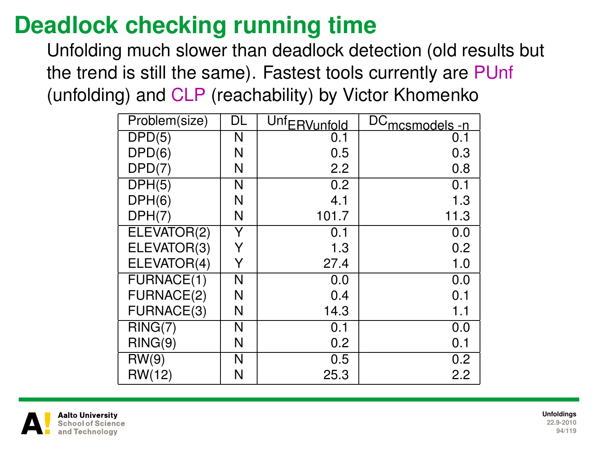#### **Deadlock checking running time**

Unfolding much slower than deadlock detection (old results but the trend is still the same). Fastest tools currently are PUnf (unfolding) and CLP (reachability) by Victor Khomenko

| Problem(size)       | DL | Unf <sub>ERVunfold</sub> | DC <sub>mcsmodels-n</sub> |
|---------------------|----|--------------------------|---------------------------|
| $\overline{DPD(5)}$ | Ν  | 0.1                      | 0.1                       |
| DPD(6)              | Ν  | 0.5                      | 0.3                       |
| DPD(7)              | Ν  | 2.2                      | 0.8                       |
| DPH(5)              | Ν  | 0.2                      | 0.1                       |
| DPH(6)              | Ν  | 4.1                      | 1.3                       |
| DPH(7)              | Ν  | 101.7                    | 11.3                      |
| ELEVATOR(2)         | Υ  | 0.1                      | 0.0                       |
| ELEVATOR(3)         | Y  | 1.3                      | 0.2                       |
| ELEVATOR(4)         | Y  | 27.4                     | 1.0                       |
| FURNACE(1)          | N  | 0.0                      | 0.0                       |
| FURNACE(2)          | N  | 0.4                      | 0.1                       |
| FURNACE(3)          | N  | 14.3                     | 1.1                       |
| RING(7)             | Ν  | 0.1                      | 0.0                       |
| RING(9)             | N  | 0.2                      | 0.1                       |
| RW(9)               | N  | 0.5                      | 0.2                       |
| RW(12)              | Ν  | 25.3                     | 2.2                       |



**Unfoldings 22.9-2010 94/119**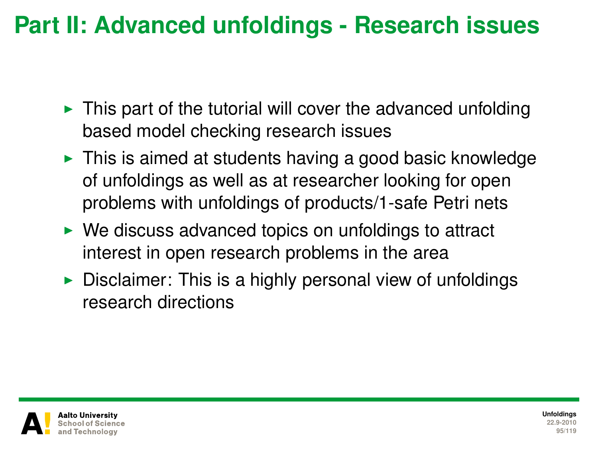#### **Part II: Advanced unfoldings - Research issues**

- $\blacktriangleright$  This part of the tutorial will cover the advanced unfolding based model checking research issues
- $\blacktriangleright$  This is aimed at students having a good basic knowledge of unfoldings as well as at researcher looking for open problems with unfoldings of products/1-safe Petri nets
- $\triangleright$  We discuss advanced topics on unfoldings to attract interest in open research problems in the area
- $\triangleright$  Disclaimer: This is a highly personal view of unfoldings research directions

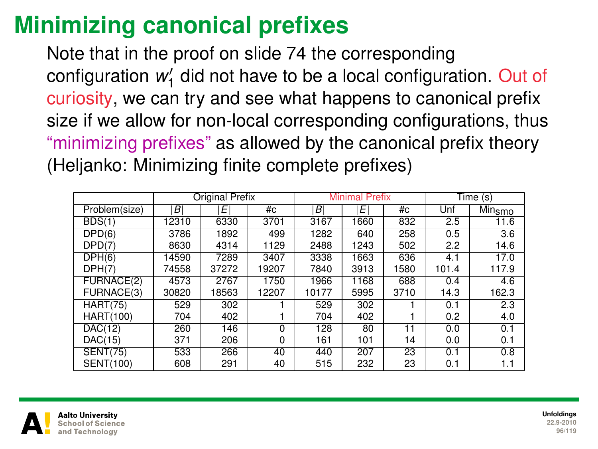#### **Minimizing canonical prefixes**

Note that in the proof on slide [74](#page-73-0) the corresponding configuration  $w'_1$  did not have to be a local configuration. Out of curiosity, we can try and see what happens to canonical prefix size if we allow for non-local corresponding configurations, thus "minimizing prefixes" as allowed by the canonical prefix theory (Heljanko: Minimizing finite complete prefixes)

|                             | <b>Original Prefix</b> |       |          |       | <b>Minimal Prefix</b> | Time(s) |       |                    |
|-----------------------------|------------------------|-------|----------|-------|-----------------------|---------|-------|--------------------|
| Problem(size)               | $\vert B \vert$        | Е     | #c       | B     | E                     | #c      | Unf   | Min <sub>smo</sub> |
| BDS(1)                      | 12310                  | 6330  | 3701     | 3167  | 1660                  | 832     | 2.5   | 11.6               |
| DPD(6)                      | 3786                   | 1892  | 499      | 1282  | 640                   | 258     | 0.5   | 3.6                |
| DPD(7)                      | 8630                   | 4314  | 1129     | 2488  | 1243                  | 502     | 2.2   | 14.6               |
| DPH(6)                      | 14590                  | 7289  | 3407     | 3338  | 1663                  | 636     | 4.1   | 17.0               |
| DPH(7)                      | 74558                  | 37272 | 19207    | 7840  | 3913                  | 1580    | 101.4 | 117.9              |
| FURNACE(2)                  | 4573                   | 2767  | 1750     | 1966  | 1168                  | 688     | 0.4   | 4.6                |
| FURNACE(3)                  | 30820                  | 18563 | 12207    | 10177 | 5995                  | 3710    | 14.3  | 162.3              |
| <b>HART(75)</b>             | 529                    | 302   |          | 529   | 302                   |         | 0.1   | 2.3                |
| <b>HART(100)</b>            | 704                    | 402   |          | 704   | 402                   |         | 0.2   | 4.0                |
| $\overline{\text{DAC}}(12)$ | 260                    | 146   | $\Omega$ | 128   | 80                    | 11      | 0.0   | 0.1                |
| DAC(15)                     | 371                    | 206   | $\Omega$ | 161   | 101                   | 14      | 0.0   | 0.1                |
| <b>SENT(75)</b>             | 533                    | 266   | 40       | 440   | 207                   | 23      | 0.1   | 0.8                |
| SENT(100)                   | 608                    | 291   | 40       | 515   | 232                   | 23      | 0.1   | 1.1                |



**Unfoldings 22.9-2010 96/119**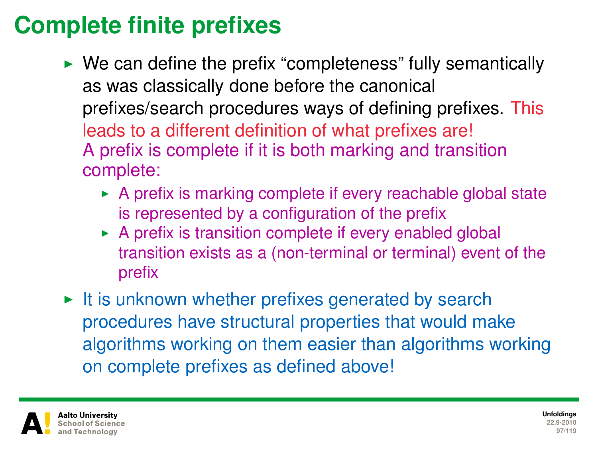#### **Complete finite prefixes**

- $\triangleright$  We can define the prefix "completeness" fully semantically as was classically done before the canonical prefixes/search procedures ways of defining prefixes. This leads to a different definition of what prefixes are! A prefix is complete if it is both marking and transition complete:
	- $\triangleright$  A prefix is marking complete if every reachable global state is represented by a configuration of the prefix
	- $\triangleright$  A prefix is transition complete if every enabled global transition exists as a (non-terminal or terminal) event of the prefix
- $\triangleright$  It is unknown whether prefixes generated by search procedures have structural properties that would make algorithms working on them easier than algorithms working on complete prefixes as defined above!

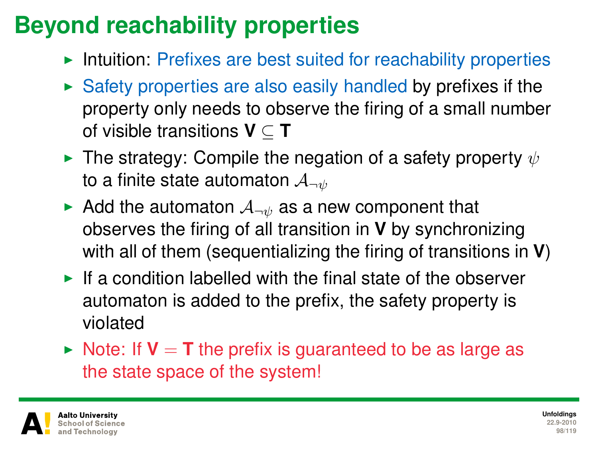#### **Beyond reachability properties**

- $\triangleright$  Intuition: Prefixes are best suited for reachability properties
- $\triangleright$  Safety properties are also easily handled by prefixes if the property only needs to observe the firing of a small number of visible transitions **V** ⊆ **T**
- $\blacktriangleright$  The strategy: Compile the negation of a safety property  $\psi$ to a finite state automaton  $\mathcal{A}_{\neg w}$
- Add the automaton  $\mathcal{A}_{\neg \psi}$  as a new component that observes the firing of all transition in **V** by synchronizing with all of them (sequentializing the firing of transitions in **V**)
- If a condition labelled with the final state of the observer automaton is added to the prefix, the safety property is violated
- $\triangleright$  Note: If  $V = T$  the prefix is quaranteed to be as large as the state space of the system!

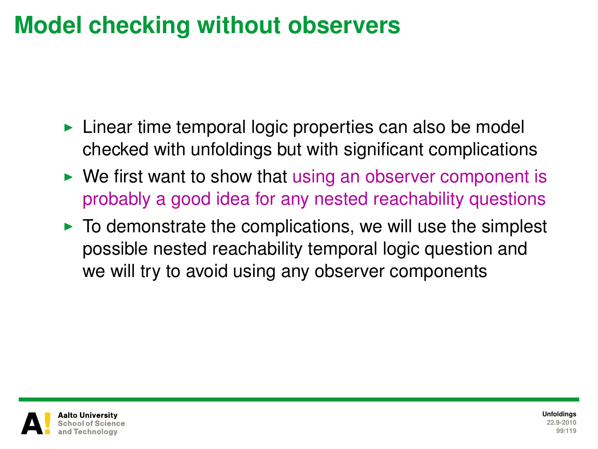#### **Model checking without observers**

- $\blacktriangleright$  Linear time temporal logic properties can also be model checked with unfoldings but with significant complications
- $\triangleright$  We first want to show that using an observer component is probably a good idea for any nested reachability questions
- $\triangleright$  To demonstrate the complications, we will use the simplest possible nested reachability temporal logic question and we will try to avoid using any observer components

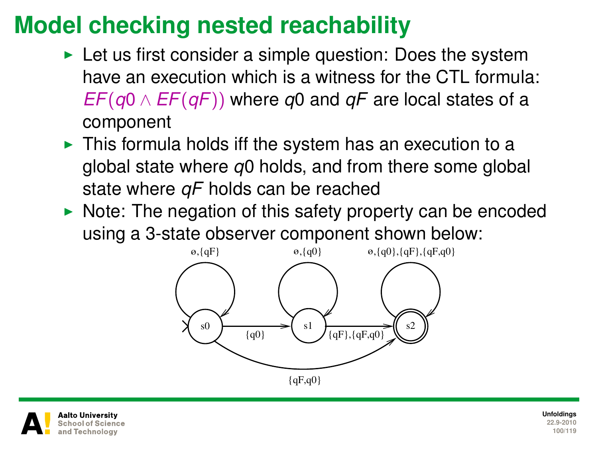#### **Model checking nested reachability**

- $\blacktriangleright$  Let us first consider a simple question: Does the system have an execution which is a witness for the CTL formula: *EF*(*q*0 ∧ *EF*(*qF*)) where *q*0 and *qF* are local states of a component
- $\triangleright$  This formula holds iff the system has an execution to a global state where *q*0 holds, and from there some global state where *qF* holds can be reached
- $\triangleright$  Note: The negation of this safety property can be encoded using a 3-state observer component shown below:



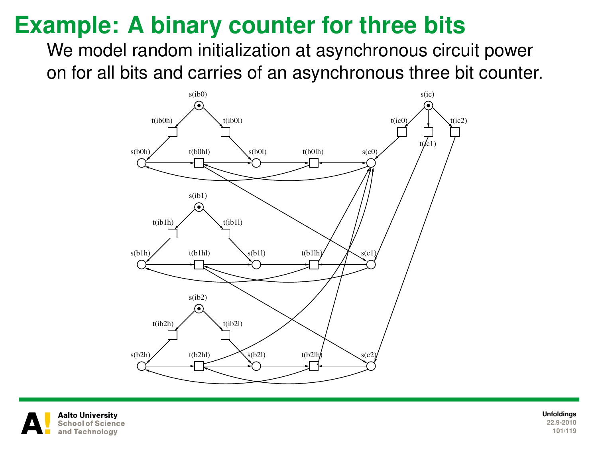#### **Example: A binary counter for three bits**

We model random initialization at asynchronous circuit power on for all bits and carries of an asynchronous three bit counter.





**Unfoldings 22.9-2010**

**101/119**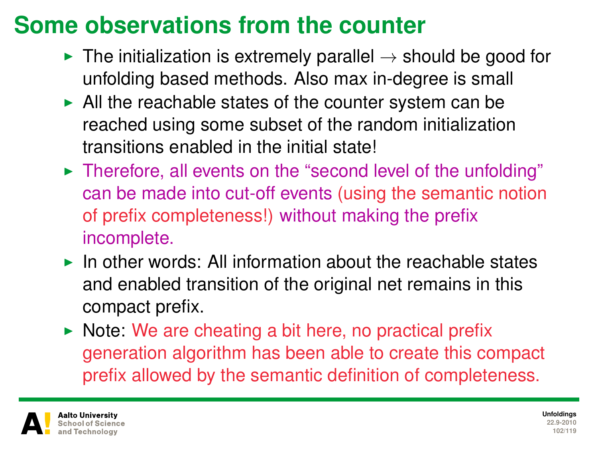#### **Some observations from the counter**

- $\triangleright$  The initialization is extremely parallel  $\rightarrow$  should be good for unfolding based methods. Also max in-degree is small
- $\blacktriangleright$  All the reachable states of the counter system can be reached using some subset of the random initialization transitions enabled in the initial state!
- $\triangleright$  Therefore, all events on the "second level of the unfolding" can be made into cut-off events (using the semantic notion of prefix completeness!) without making the prefix incomplete.
- $\blacktriangleright$  In other words: All information about the reachable states and enabled transition of the original net remains in this compact prefix.
- $\triangleright$  Note: We are cheating a bit here, no practical prefix generation algorithm has been able to create this compact prefix allowed by the semantic definition of completeness.

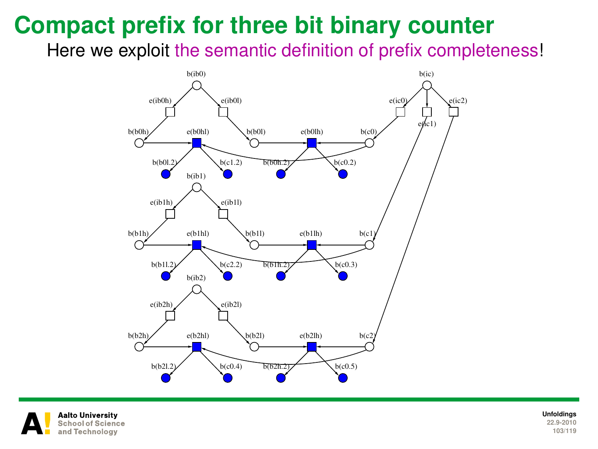#### **Compact prefix for three bit binary counter**

Here we exploit the semantic definition of prefix completeness!





**Unfoldings 22.9-2010 103/119**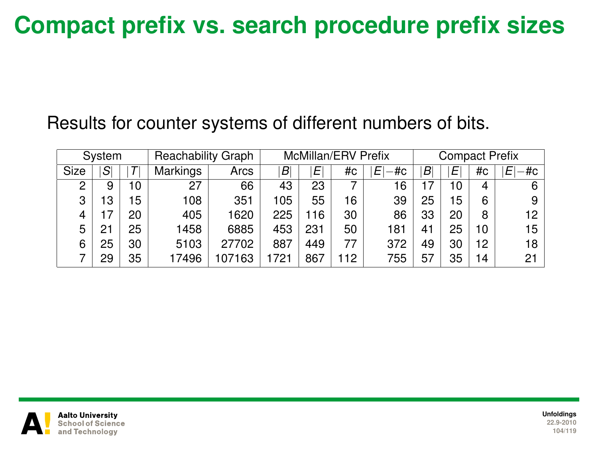#### **Compact prefix vs. search procedure prefix sizes**

#### Results for counter systems of different numbers of bits.

|      | System |    | Reachability Graph | McMillan/ERV Prefix |      |     |     | <b>Compact Prefix</b> |    |    |    |              |
|------|--------|----|--------------------|---------------------|------|-----|-----|-----------------------|----|----|----|--------------|
| Size | SI     |    | Markings           | Arcs                | B    | Е   | #c  | ΕI<br>$-\#c$          | B  | Е  | #c | E'<br>$-\#c$ |
| 2    | 9      | 10 | 27                 | 66                  | 43   | 23  |     | 16                    |    | 10 | 4  | 6            |
| 3    | ۱3     | 15 | 108                | 351                 | 105  | 55  | 16  | 39                    | 25 | 15 | 6  | 9            |
| 4    | 7      | 20 | 405                | 1620                | 225  | 116 | 30  | 86                    | 33 | 20 | 8  | 12           |
| 5    | 21     | 25 | 1458               | 6885                | 453  | 231 | 50  | 181                   | 41 | 25 | 10 | 15           |
| 6    | 25     | 30 | 5103               | 27702               | 887  | 449 | 77  | 372                   | 49 | 30 | 12 | 18           |
|      | 29     | 35 | 17496              | 107163              | 1721 | 867 | 112 | 755                   | 57 | 35 | 14 | 21           |



**Unfoldings 22.9-2010 104/119**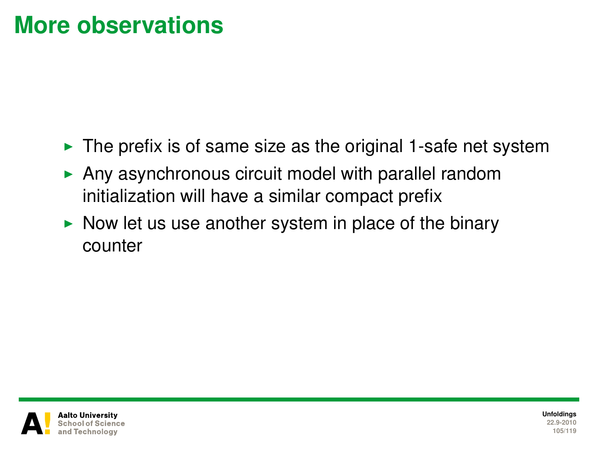#### **More observations**

- $\blacktriangleright$  The prefix is of same size as the original 1-safe net system
- $\blacktriangleright$  Any asynchronous circuit model with parallel random initialization will have a similar compact prefix
- $\triangleright$  Now let us use another system in place of the binary counter



**Unfoldings 22.9-2010 105/119**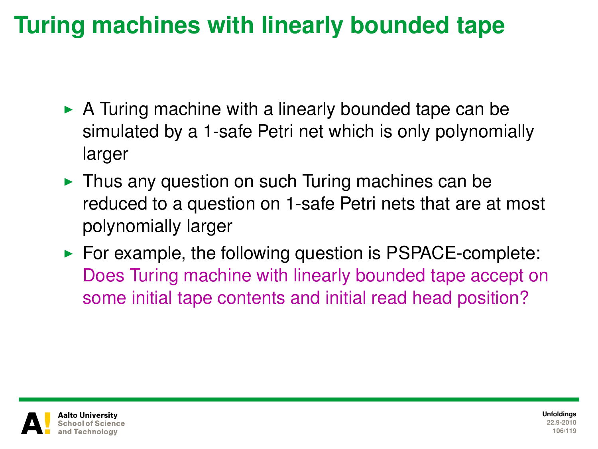#### **Turing machines with linearly bounded tape**

- $\triangleright$  A Turing machine with a linearly bounded tape can be simulated by a 1-safe Petri net which is only polynomially larger
- $\blacktriangleright$  Thus any question on such Turing machines can be reduced to a question on 1-safe Petri nets that are at most polynomially larger
- $\triangleright$  For example, the following question is PSPACE-complete: Does Turing machine with linearly bounded tape accept on some initial tape contents and initial read head position?



**Unfoldings 22.9-2010 106/119**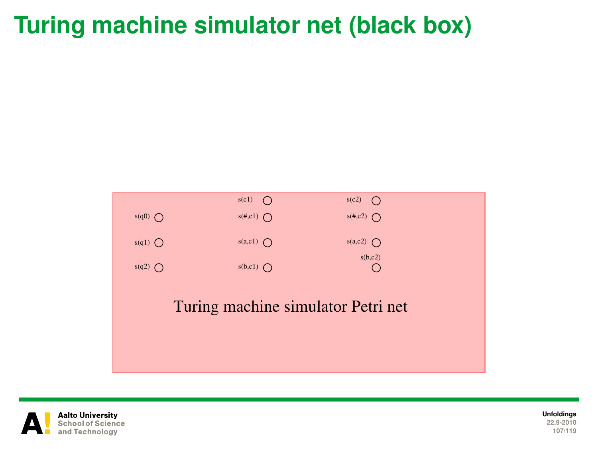#### **Turing machine simulator net (black box)**





**Unfoldings 22.9-2010 107/119**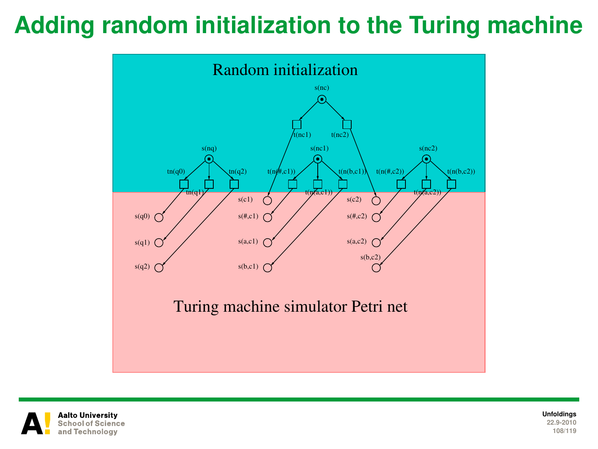#### **Adding random initialization to the Turing machine**





**Unfoldings 22.9-2010 108/119**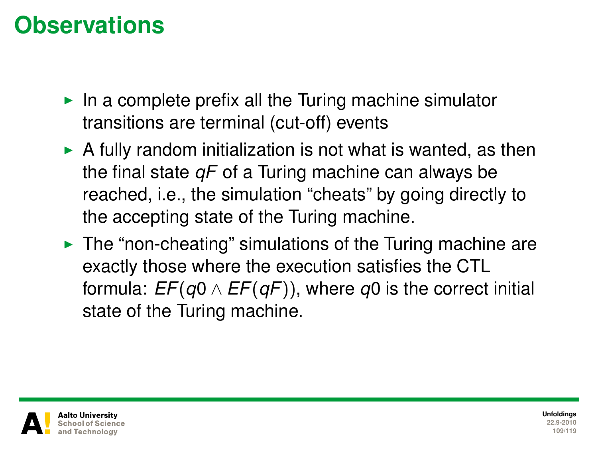#### **Observations**

- $\blacktriangleright$  In a complete prefix all the Turing machine simulator transitions are terminal (cut-off) events
- $\triangleright$  A fully random initialization is not what is wanted, as then the final state *qF* of a Turing machine can always be reached, i.e., the simulation "cheats" by going directly to the accepting state of the Turing machine.
- $\blacktriangleright$  The "non-cheating" simulations of the Turing machine are exactly those where the execution satisfies the CTL formula:  $EF(q0 \wedge EF(qF))$ , where *q*0 is the correct initial state of the Turing machine.

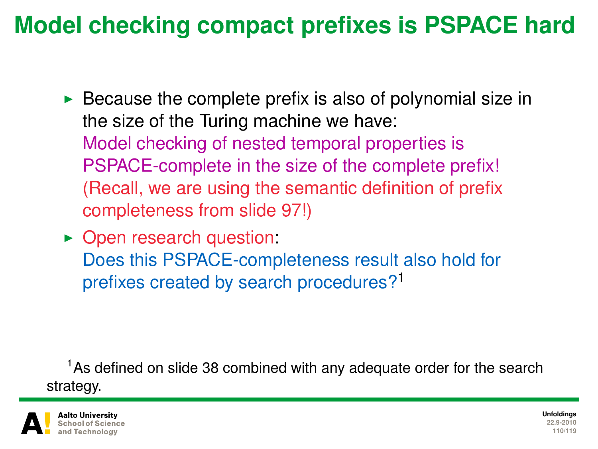### **Model checking compact prefixes is PSPACE hard**

- $\triangleright$  Because the complete prefix is also of polynomial size in the size of the Turing machine we have: Model checking of nested temporal properties is PSPACE-complete in the size of the complete prefix! (Recall, we are using the semantic definition of prefix completeness from slide [97!](#page-96-0))
- $\triangleright$  Open research question: Does this PSPACE-completeness result also hold for prefixes created by search procedures?<sup>1</sup>

<sup>&</sup>lt;sup>1</sup>As defined on slide [38](#page-37-0) combined with any adequate order for the search strategy.

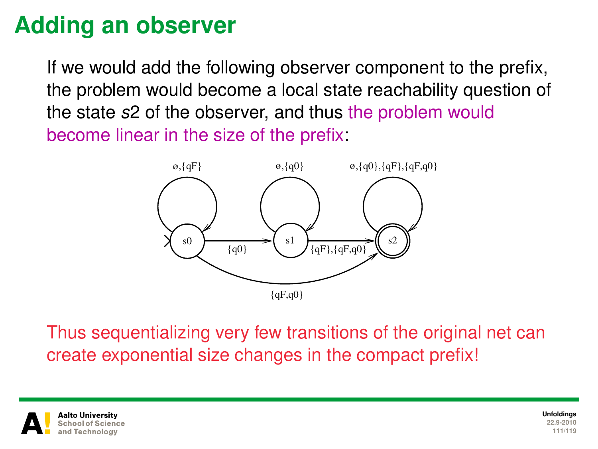### **Adding an observer**

If we would add the following observer component to the prefix, the problem would become a local state reachability question of the state *s*2 of the observer, and thus the problem would become linear in the size of the prefix:



Thus sequentializing very few transitions of the original net can create exponential size changes in the compact prefix!



**Unfoldings 22.9-2010 111/119**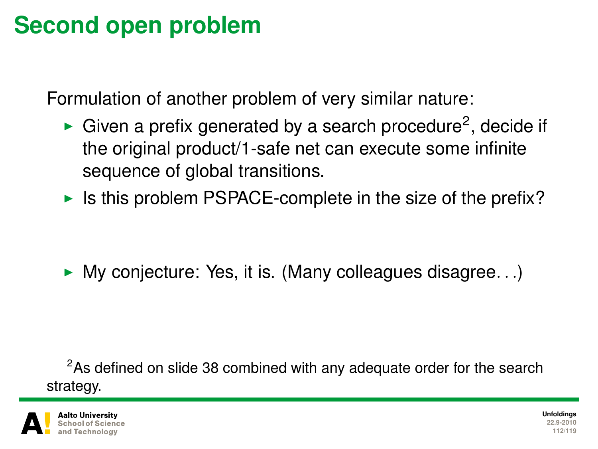### **Second open problem**

Formulation of another problem of very similar nature:

- $\blacktriangleright$  Given a prefix generated by a search procedure<sup>2</sup>, decide if the original product/1-safe net can execute some infinite sequence of global transitions.
- If Its this problem PSPACE-complete in the size of the prefix?

 $\blacktriangleright$  My conjecture: Yes, it is. (Many colleagues disagree...)

<sup>&</sup>lt;sup>2</sup>As defined on slide [38](#page-37-0) combined with any adequate order for the search strategy.

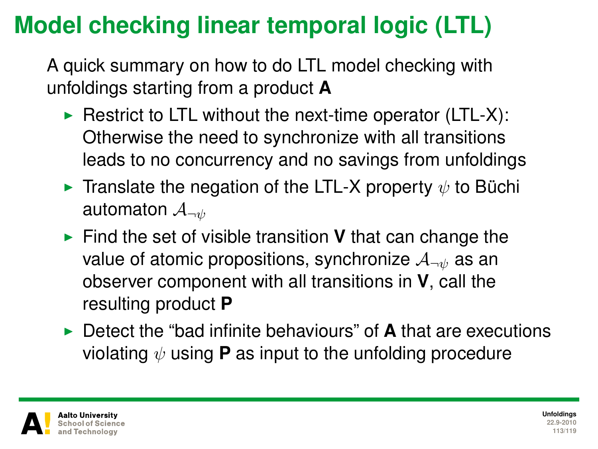# **Model checking linear temporal logic (LTL)**

A quick summary on how to do LTL model checking with unfoldings starting from a product **A**

- Restrict to LTL without the next-time operator  $(LTL-X)$ : Otherwise the need to synchronize with all transitions leads to no concurrency and no savings from unfoldings
- **F** Translate the negation of the LTL-X property  $\psi$  to Büchi automaton  $\mathcal{A}_{\neg \psi}$
- $\blacktriangleright$  Find the set of visible transition **V** that can change the value of atomic propositions, synchronize  $\mathcal{A}_{\neg \psi}$  as an observer component with all transitions in **V**, call the resulting product **P**
- ► Detect the "bad infinite behaviours" of **A** that are executions violating  $\psi$  using **P** as input to the unfolding procedure

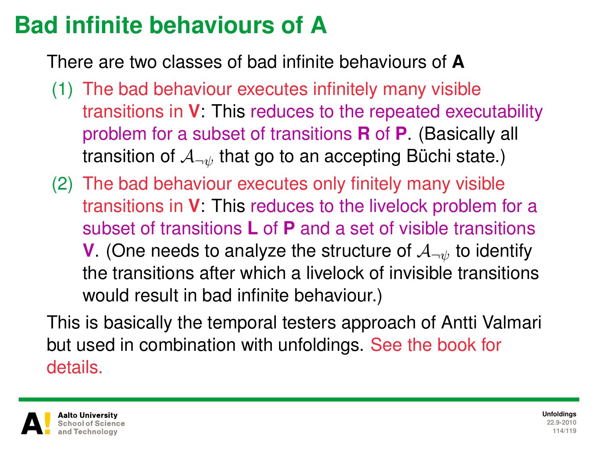### **Bad infinite behaviours of A**

There are two classes of bad infinite behaviours of **A**

- (1) The bad behaviour executes infinitely many visible transitions in **V**: This reduces to the repeated executability problem for a subset of transitions **R** of **P**. (Basically all transition of  $A_{\neg \psi}$  that go to an accepting Büchi state.)
- (2) The bad behaviour executes only finitely many visible transitions in **V**: This reduces to the livelock problem for a subset of transitions **L** of **P** and a set of visible transitions **V**. (One needs to analyze the structure of  $A_{\neg w}$  to identify the transitions after which a livelock of invisible transitions would result in bad infinite behaviour.)

This is basically the temporal testers approach of Antti Valmari but used in combination with unfoldings. See the book for details.

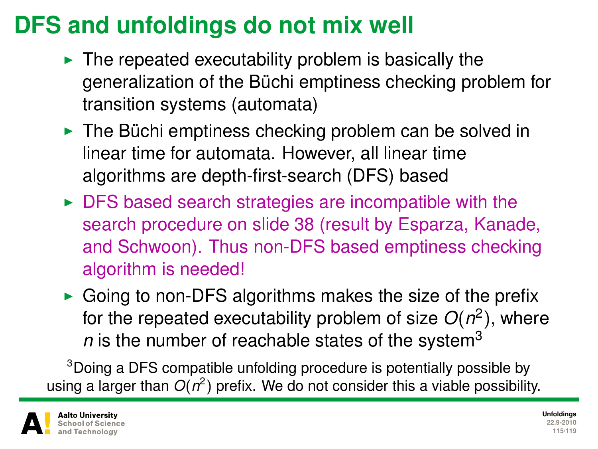# **DFS and unfoldings do not mix well**

- $\blacktriangleright$  The repeated executability problem is basically the generalization of the Büchi emptiness checking problem for transition systems (automata)
- $\triangleright$  The Büchi emptiness checking problem can be solved in linear time for automata. However, all linear time algorithms are depth-first-search (DFS) based
- $\triangleright$  DFS based search strategies are incompatible with the search procedure on slide [38](#page-37-0) (result by Esparza, Kanade, and Schwoon). Thus non-DFS based emptiness checking algorithm is needed!
- $\triangleright$  Going to non-DFS algorithms makes the size of the prefix for the repeated executability problem of size *O*(*n* 2 ), where  $n$  is the number of reachable states of the system<sup>3</sup>

<sup>3</sup>Doing a DFS compatible unfolding procedure is potentially possible by using a larger than  $O(n^2)$  prefix. We do not consider this a viable possibility.

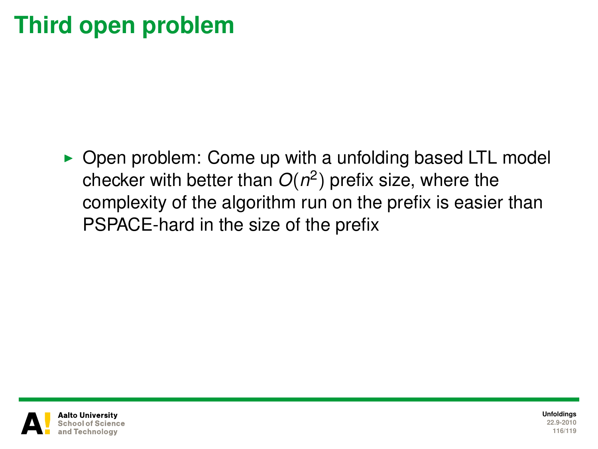### **Third open problem**

 $\triangleright$  Open problem: Come up with a unfolding based LTL model checker with better than *O*(*n* 2 ) prefix size, where the complexity of the algorithm run on the prefix is easier than PSPACE-hard in the size of the prefix



**Unfoldings 22.9-2010 116/119**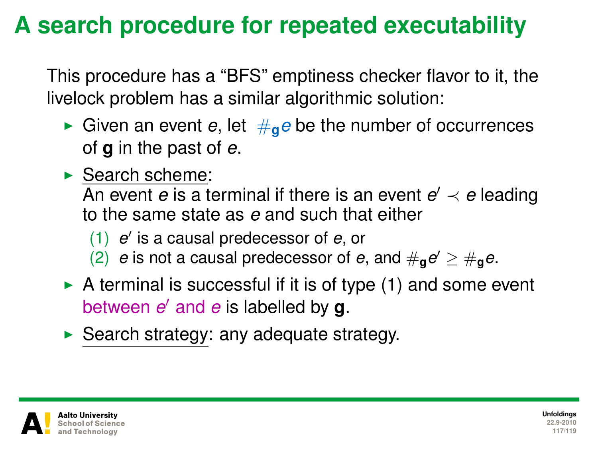### **A search procedure for repeated executability**

This procedure has a "BFS" emptiness checker flavor to it, the livelock problem has a similar algorithmic solution:

- Given an event *e*, let  $\#_q e$  be the number of occurrences of **g** in the past of *e*.
- $\blacktriangleright$  Search scheme: An event  $e$  is a terminal if there is an event  $e' \prec e$  leading to the same state as *e* and such that either
	- (1)  $e'$  is a causal predecessor of  $e$ , or
	- (2)  $e$  is not a causal predecessor of  $e$ , and  $\#_{g}e' \geq \#_{g}e$ .
- $\triangleright$  A terminal is successful if it is of type (1) and some event between  $e'$  and  $e$  is labelled by **g**.
- $\triangleright$  Search strategy: any adequate strategy.

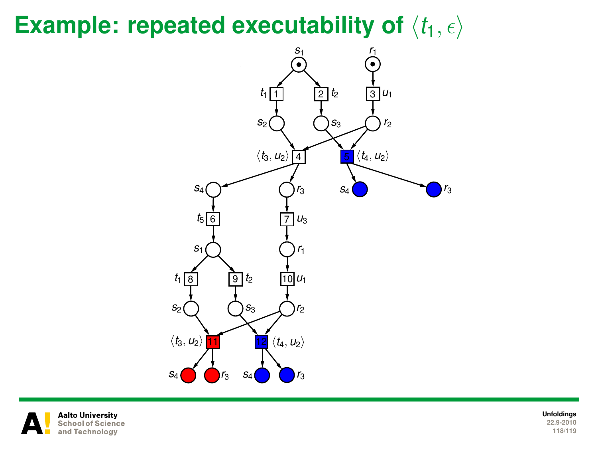#### **Example: repeated executability of**  $\langle t_1, \epsilon \rangle$





**Unfoldings 22.9-2010 118/119**